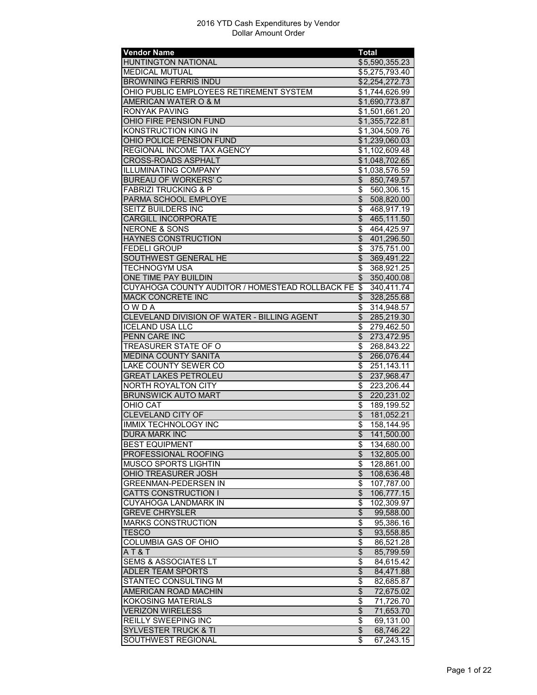| <b>Vendor Name</b>                                 | <b>Total</b>                           |
|----------------------------------------------------|----------------------------------------|
| <b>HUNTINGTON NATIONAL</b>                         | \$5,590,355.23                         |
| <b>MEDICAL MUTUAL</b>                              | \$5,275,793.40                         |
| <b>BROWNING FERRIS INDU</b>                        | \$2,254,272.73                         |
| OHIO PUBLIC EMPLOYEES RETIREMENT SYSTEM            | \$1,744,626.99                         |
| AMERICAN WATER O & M                               | \$1,690,773.87                         |
| <b>RONYAK PAVING</b>                               | \$1,501,661.20                         |
| OHIO FIRE PENSION FUND                             | \$1,355,722.81                         |
| KONSTRUCTION KING IN                               | \$1,304,509.76                         |
|                                                    |                                        |
| OHIO POLICE PENSION FUND                           | \$1,239,060.03                         |
| REGIONAL INCOME TAX AGENCY                         | \$1,102,609.48                         |
| CROSS-ROADS ASPHALT                                | \$1,048,702.65                         |
| <b>ILLUMINATING COMPANY</b>                        | \$1,038,576.59                         |
| <b>BUREAU OF WORKERS' C</b>                        | \$850,749.57                           |
| <b>FABRIZI TRUCKING &amp; P</b>                    | $\overline{\mathcal{E}}$<br>560,306.15 |
| PARMA SCHOOL EMPLOYE                               | $\frac{1}{2}$<br>508,820.00            |
| <b>SEITZ BUILDERS INC</b>                          | \$<br>468,917.19                       |
| <b>CARGILL INCORPORATE</b>                         | $\frac{1}{2}$<br>465,111.50            |
| <b>NERONE &amp; SONS</b>                           | \$<br>464,425.97                       |
| <b>HAYNES CONSTRUCTION</b>                         | $\overline{\$}$<br>401,296.50          |
| <b>FEDELI GROUP</b>                                | \$<br>375,751.00                       |
| SOUTHWEST GENERAL HE                               | $\overline{\mathcal{E}}$<br>369,491.22 |
|                                                    |                                        |
| TECHNOGYM USA                                      | \$<br>368,921.25                       |
| ONE TIME PAY BUILDIN                               | $\mathsf{\$}$<br>350,400.08            |
| CUYAHOGA COUNTY AUDITOR / HOMESTEAD ROLLBACK FE \$ | 340,411.74                             |
| <b>MACK CONCRETE INC</b>                           | \$<br>328,255.68                       |
| OWDA                                               | \$<br>314,948.57                       |
| CLEVELAND DIVISION OF WATER - BILLING AGENT        | $\overline{\$}$<br>285,219.30          |
| <b>ICELAND USA LLC</b>                             | \$<br>279,462.50                       |
| <b>PENN CARE INC</b>                               | $\frac{1}{2}$<br>273,472.95            |
| <b>TREASURER STATE OF O</b>                        | \$<br>268,843.22                       |
| <b>MEDINA COUNTY SANITA</b>                        | $\overline{\theta}$<br>266,076.44      |
| LAKE COUNTY SEWER CO                               | \$<br>251,143.11                       |
| <b>GREAT LAKES PETROLEU</b>                        | $\overline{\$}$<br>237,968.47          |
| <b>NORTH ROYALTON CITY</b>                         | \$<br>223,206.44                       |
| <b>BRUNSWICK AUTO MART</b>                         | $\overline{\mathcal{E}}$<br>220,231.02 |
|                                                    |                                        |
| <b>OHIO CAT</b>                                    | \$<br>189,199.52                       |
| <b>CLEVELAND CITY OF</b>                           | $\frac{1}{2}$<br>181,052.21            |
| <b>IMMIX TECHNOLOGY INC</b>                        | \$<br>158,144.95                       |
| <b>DURA MARK INC</b>                               | $\overline{\$}$<br>141,500.00          |
| <b>BEST EQUIPMENT</b>                              | 134,680.00<br>\$                       |
| PROFESSIONAL ROOFING                               | \$<br>132,805.00                       |
| <b>MUSCO SPORTS LIGHTIN</b>                        | 128,861.00<br>\$                       |
| <b>OHIO TREASURER JOSH</b>                         | \$<br>108,636.48                       |
| <b>GREENMAN-PEDERSEN IN</b>                        | \$<br>107,787.00                       |
| CATTS CONSTRUCTION I                               | \$<br>106,777.15                       |
| <b>CUYAHOGA LANDMARK IN</b>                        | \$<br>102,309.97                       |
| <b>GREVE CHRYSLER</b>                              | $\overline{\$}$<br>99,588.00           |
| <b>MARKS CONSTRUCTION</b>                          | \$<br>95,386.16                        |
| <b>TESCO</b>                                       |                                        |
|                                                    | \$<br>93,558.85                        |
| COLUMBIA GAS OF OHIO                               | \$<br>86,521.28                        |
| AT&T                                               | \$<br>85,799.59                        |
| <b>SEMS &amp; ASSOCIATES LT</b>                    | \$<br>84,615.42                        |
| ADLER TEAM SPORTS                                  | \$<br>84,471.88                        |
| STANTEC CONSULTING M                               | \$<br>82,685.87                        |
| AMERICAN ROAD MACHIN                               | $\overline{\mathcal{L}}$<br>72,675.02  |
| <b>KOKOSING MATERIALS</b>                          | \$<br>71,726.70                        |
| <b>VERIZON WIRELESS</b>                            | \$<br>71,653.70                        |
| REILLY SWEEPING INC                                | \$<br>69,131.00                        |
|                                                    |                                        |
| <b>SYLVESTER TRUCK &amp; TI</b>                    | \$<br>68,746.22                        |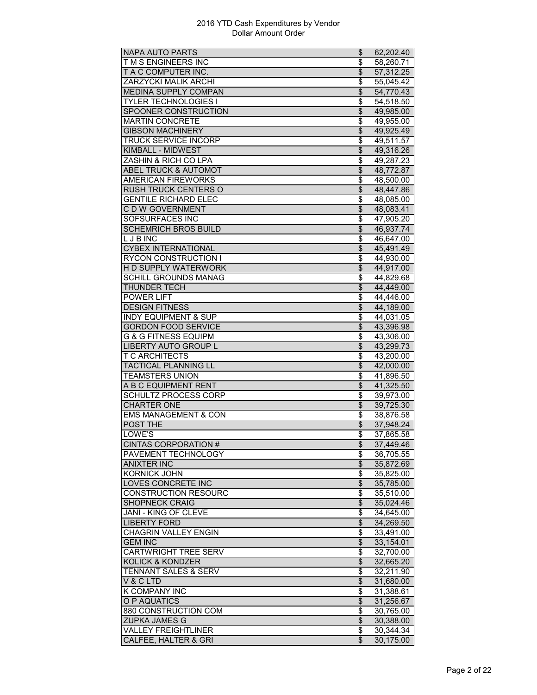| <b>NAPA AUTO PARTS</b>                         | \$                             | 62,202.40               |
|------------------------------------------------|--------------------------------|-------------------------|
| T M S ENGINEERS INC                            | \$                             | 58,260.71               |
| T A C COMPUTER INC.                            | \$                             | 57,312.25               |
| ZARZYCKI MALIK ARCHI                           | \$                             | 55,045.42               |
| <b>MEDINA SUPPLY COMPAN</b>                    | $\overline{\mathcal{L}}$       | 54,770.43               |
| <b>TYLER TECHNOLOGIES I</b>                    | \$                             | $\overline{5}$ 4,518.50 |
| SPOONER CONSTRUCTION                           | $\overline{\$}$                | 49,985.00               |
| <b>MARTIN CONCRETE</b>                         | \$                             | 49,955.00               |
| <b>GIBSON MACHINERY</b>                        | \$                             | 49,925.49               |
| <b>TRUCK SERVICE INCORP</b>                    | \$                             | 49,511.57               |
| <b>KIMBALL - MIDWEST</b>                       | \$                             | 49,316.26               |
| ZASHIN & RICH CO LPA                           |                                |                         |
|                                                | \$                             | 49,287.23               |
| <b>ABEL TRUCK &amp; AUTOMOT</b>                | $\overline{\$}$                | 48,772.87               |
| <b>AMERICAN FIREWORKS</b>                      | \$                             | 48,500.00               |
| <b>RUSH TRUCK CENTERS O</b>                    | $\overline{\$}$                | 48,447.86               |
| <b>GENTILE RICHARD ELEC</b>                    | \$                             | 48,085.00               |
| C D W GOVERNMENT                               | $\overline{\mathcal{L}}$       | 48,083.41               |
| <b>SOFSURFACES INC</b>                         | \$                             | 47,905.20               |
| <b>SCHEMRICH BROS BUILD</b>                    | \$                             | 46,937.74               |
| <b>LJBINC</b>                                  | \$                             | 46,647.00               |
| <b>CYBEX INTERNATIONAL</b>                     | \$                             | 45,491.49               |
| <b>RYCON CONSTRUCTION I</b>                    | \$                             | 44,930.00               |
| <b>HD SUPPLY WATERWORK</b>                     | $\overline{\mathcal{L}}$       | 44,917.00               |
| <b>SCHILL GROUNDS MANAG</b>                    | \$                             | 44,829.68               |
| THUNDER TECH                                   | \$                             | 44,449.00               |
| <b>POWER LIFT</b>                              | \$                             | 44,446.00               |
| <b>DESIGN FITNESS</b>                          | \$                             | 44,189.00               |
| <b>INDY EQUIPMENT &amp; SUP</b>                | $\overline{\$}$                | 44,031.05               |
| <b>GORDON FOOD SERVICE</b>                     | \$                             | 43,396.98               |
| <b>G &amp; G FITNESS EQUIPM</b>                | \$                             | 43,306.00               |
| <b>LIBERTY AUTO GROUP L</b>                    | $\overline{\mathcal{L}}$       | 43,299.73               |
| <b>T C ARCHITECTS</b>                          | \$                             | 43,200.00               |
|                                                |                                |                         |
| <b>TACTICAL PLANNING LL</b><br>TEAMSTERS UNION | \$<br>\$                       | 42,000.00               |
| A B C EQUIPMENT RENT                           | $\overline{\$}$                | 41,896.50               |
|                                                |                                | 41,325.50               |
| <b>SCHULTZ PROCESS CORP</b>                    | \$                             | 39,973.00               |
| <b>CHARTER ONE</b>                             | \$                             | 39,725.30               |
| <b>EMS MANAGEMENT &amp; CON</b>                | \$                             | 38,876.58               |
| <b>POST THE</b>                                | \$                             | 37,948.24               |
| LOWE'S                                         | \$                             | 37,865.58               |
| <b>CINTAS CORPORATION #</b>                    | Φ                              | 37,449.46               |
| PAVEMENT TECHNOLOGY                            | \$                             | 36,705.55               |
| <b>ANIXTER INC</b>                             | $\overline{\mathbf{S}}$        | 35,872.69               |
| <b>KORNICK JOHN</b>                            | \$                             | 35,825.00               |
| LOVES CONCRETE INC                             | $\overline{\theta}$            | 35,785.00               |
| <b>CONSTRUCTION RESOURC</b>                    | \$                             | 35,510.00               |
| <b>SHOPNECK CRAIG</b>                          | \$                             | 35,024.46               |
| <b>JANI - KING OF CLEVE</b>                    | \$                             | 34,645.00               |
| <b>LIBERTY FORD</b>                            | $\overline{\$}$                | 34,269.50               |
| <b>CHAGRIN VALLEY ENGIN</b>                    | \$                             | 33,491.00               |
| <b>GEM INC</b>                                 | $\overline{\mathcal{L}}$       | 33,154.01               |
| <b>CARTWRIGHT TREE SERV</b>                    | \$                             | 32,700.00               |
| <b>KOLICK &amp; KONDZER</b>                    | \$                             | 32,665.20               |
| TENNANT SALES & SERV                           |                                |                         |
|                                                | \$<br>$\overline{\mathcal{E}}$ | 32,211.90               |
| V & C LTD                                      |                                | 31,680.00               |
| K COMPANY INC                                  | \$                             | 31,388.61               |
| O P AQUATICS                                   | $\overline{\$}$                | 31,256.67               |
| 880 CONSTRUCTION COM                           | \$                             | 30,765.00               |
| <b>ZUPKA JAMES G</b>                           | $\overline{\theta}$            | 30,388.00               |
| <b>VALLEY FREIGHTLINER</b>                     | \$                             | 30,344.34               |
| <b>CALFEE, HALTER &amp; GRI</b>                | \$                             | 30,175.00               |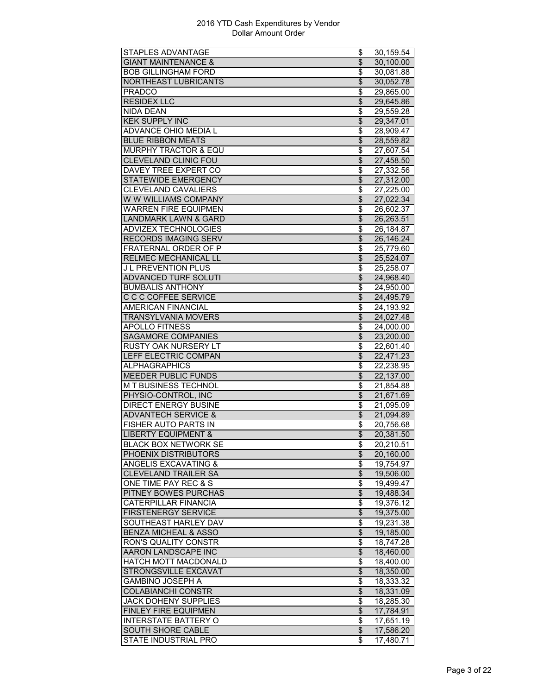| STAPLES ADVANTAGE               | \$                               | 30,159.54              |
|---------------------------------|----------------------------------|------------------------|
| <b>GIANT MAINTENANCE &amp;</b>  | \$                               | 30,100.00              |
| <b>BOB GILLINGHAM FORD</b>      | \$                               | 30,081.88              |
| NORTHEAST LUBRICANTS            | \$                               | 30.052.78              |
| <b>PRADCO</b>                   | \$                               | 29,865.00              |
| <b>RESIDEX LLC</b>              | $\overline{\$}$                  | 29,645.86              |
| <b>NIDA DEAN</b>                | \$                               | 29,559.28              |
| <b>KEK SUPPLY INC</b>           | \$                               | 29,347.01              |
| <b>ADVANCE OHIO MEDIA L</b>     | \$                               | 28,909.47              |
| <b>BLUE RIBBON MEATS</b>        | \$                               | 28,559.82              |
| <b>MURPHY TRACTOR &amp; EQU</b> | \$                               | $\overline{27},607.54$ |
| <b>CLEVELAND CLINIC FOU</b>     | \$                               | 27,458.50              |
| DAVEY TREE EXPERT CO            | \$                               | 27,332.56              |
| <b>STATEWIDE EMERGENCY</b>      | $\overline{\$}$                  | 27,312.00              |
| <b>CLEVELAND CAVALIERS</b>      | \$                               | 27,225.00              |
| W W WILLIAMS COMPANY            | \$                               | 27,022.34              |
| <b>WARREN FIRE EQUIPMEN</b>     | \$                               | 26,602.37              |
|                                 |                                  |                        |
| <b>LANDMARK LAWN &amp; GARD</b> | \$                               | 26,263.51              |
| <b>ADVIZEX TECHNOLOGIES</b>     | \$                               | 26,184.87              |
| <b>RECORDS IMAGING SERV</b>     | $\overline{\$}$                  | 26,146.24              |
| FRATERNAL ORDER OF P            | \$                               | 25,779.60              |
| RELMEC MECHANICAL LL            | $\overline{\$}$                  | 25,524.07              |
| J L PREVENTION PLUS             | \$                               | 25,258.07              |
| <b>ADVANCED TURF SOLUTI</b>     | \$                               | 24,968.40              |
| <b>BUMBALIS ANTHONY</b>         | \$                               | 24,950.00              |
| <b>C C C COFFEE SERVICE</b>     | \$                               | 24,495.79              |
| AMERICAN FINANCIAL              | \$                               | 24,193.92              |
| <b>TRANSYLVANIA MOVERS</b>      | $\overline{\$}$                  | 24,027.48              |
| <b>APOLLO FITNESS</b>           | \$                               | 24,000.00              |
| <b>SAGAMORE COMPANIES</b>       | $\overline{\$}$                  | 23,200.00              |
| RUSTY OAK NURSERY LT            | \$                               | $\overline{22},601.40$ |
| <b>LEFF ELECTRIC COMPAN</b>     | $\overline{\mathcal{L}}$         | 22,471.23              |
| <b>ALPHAGRAPHICS</b>            | \$                               | 22,238.95              |
| MEEDER PUBLIC FUNDS             | \$                               | 22,137.00              |
| M T BUSINESS TECHNOL            | $\overline{\$}$                  | 21,854.88              |
| PHYSIO-CONTROL, INC             | $\overline{\$}$                  | 21,671.69              |
| <b>DIRECT ENERGY BUSINE</b>     | \$                               | 21,095.09              |
| <b>ADVANTECH SERVICE &amp;</b>  | \$                               | 21,094.89              |
| FISHER AUTO PARTS IN            | \$                               | 20,756.68              |
| <b>LIBERTY EQUIPMENT &amp;</b>  | $\overline{\mathcal{L}}$         | 20,381.50              |
| BLACK BOX NETWORK SE            | \$                               | 20,210.51              |
| PHOENIX DISTRIBUTORS            | $\overline{\mathcal{L}}$         | 20,160.00              |
| <b>ANGELIS EXCAVATING &amp;</b> | \$                               | 19,754.97              |
| <b>CLEVELAND TRAILER SA</b>     | $\frac{1}{2}$                    | 19,506.00              |
| ONE TIME PAY REC & S            | $\overline{\boldsymbol{\theta}}$ | 19,499.47              |
| PITNEY BOWES PURCHAS            | \$                               | 19,488.34              |
| <b>CATERPILLAR FINANCIA</b>     |                                  |                        |
|                                 | \$                               | 19,376.12              |
| <b>FIRSTENERGY SERVICE</b>      | $\overline{\$}$                  | 19,375.00              |
| SOUTHEAST HARLEY DAV            | $\overline{\boldsymbol{\theta}}$ | 19,231.38              |
| <b>BENZA MICHEAL &amp; ASSO</b> | $\overline{\mathcal{S}}$         | 19,185.00              |
| <b>RON'S QUALITY CONSTR</b>     | \$                               | 18,747.28              |
| <b>AARON LANDSCAPE INC</b>      | $\overline{\$}$                  | 18,460.00              |
| HATCH MOTT MACDONALD            | \$                               | 18,400.00              |
| STRONGSVILLE EXCAVAT            | \$                               | 18,350.00              |
| <b>GAMBINO JOSEPH A</b>         | \$                               | 18,333.32              |
| <b>COLABIANCHI CONSTR</b>       | $\overline{\$}$                  | 18,331.09              |
| <b>JACK DOHENY SUPPLIES</b>     | $\overline{\boldsymbol{\theta}}$ | 18,285.30              |
| <b>FINLEY FIRE EQUIPMEN</b>     | \$                               | 17,784.91              |
| <b>INTERSTATE BATTERY O</b>     | $\overline{\boldsymbol{\theta}}$ | 17,651.19              |
| <b>SOUTH SHORE CABLE</b>        | $\overline{\theta}$              | 17,586.20              |
|                                 |                                  |                        |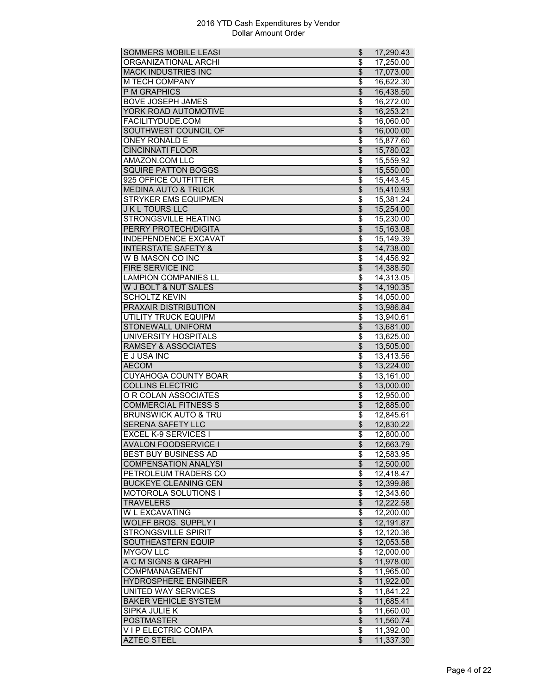| <b>SOMMERS MOBILE LEASI</b>                      | \$                             | 17,290.43              |
|--------------------------------------------------|--------------------------------|------------------------|
| ORGANIZATIONAL ARCHI                             | \$                             | 17,250.00              |
| <b>MACK INDUSTRIES INC</b>                       | \$                             | 17,073.00              |
| M TECH COMPANY                                   | \$                             | 16,622.30              |
| <b>P M GRAPHICS</b>                              | $\overline{\$}$                | 16,438.50              |
| <b>BOVE JOSEPH JAMES</b>                         | \$                             | 16,272.00              |
| YORK ROAD AUTOMOTIVE                             | $\overline{\$}$                | 16,253.21              |
| FACILITYDUDE.COM                                 | \$                             | 16,060.00              |
| SOUTHWEST COUNCIL OF                             | $\overline{\$}$                | 16,000.00              |
| <b>ONEY RONALD E</b>                             | \$                             | 15,877.60              |
| <b>CINCINNATI FLOOR</b>                          | $\overline{\mathcal{L}}$       | 15,780.02              |
| AMAZON.COM LLC                                   | \$                             |                        |
| <b>SQUIRE PATTON BOGGS</b>                       | $\overline{\$}$                | 15,559.92              |
| 925 OFFICE OUTFITTER                             |                                | 15,550.00              |
|                                                  | $\overline{\$}$                | 15,443.45              |
| <b>MEDINA AUTO &amp; TRUCK</b>                   | $\overline{\$}$                | 15,410.93              |
| <b>STRYKER EMS EQUIPMEN</b>                      | \$                             | 15,381.24              |
| <b>J K L TOURS LLC</b>                           | \$                             | 15,254.00              |
| <b>STRONGSVILLE HEATING</b>                      | \$                             | 15,230.00              |
| <b>PERRY PROTECH/DIGITA</b>                      | $\frac{1}{2}$                  | 15,163.08              |
| <b>INDEPENDENCE EXCAVAT</b>                      | \$                             | 15,149.39              |
| <b>INTERSTATE SAFETY &amp;</b>                   | \$                             | 14,738.00              |
| W B MASON CO INC                                 | \$                             | 14,456.92              |
| FIRE SERVICE INC                                 | $\overline{\$}$                | 14,388.50              |
| <b>LAMPION COMPANIES LL</b>                      | \$                             | 14,313.05              |
| W J BOLT & NUT SALES                             | \$                             | 14,190.35              |
| <b>SCHOLTZ KEVIN</b>                             | \$                             | 14,050.00              |
| PRAXAIR DISTRIBUTION                             | $\overline{\$}$                | 13,986.84              |
| <b>UTILITY TRUCK EQUIPM</b>                      | $\overline{\$}$                | 13,940.61              |
| STONEWALL UNIFORM                                | \$                             | 13,681.00              |
| <b>UNIVERSITY HOSPITALS</b>                      | \$                             | 13,625.00              |
| <b>RAMSEY &amp; ASSOCIATES</b>                   | \$                             | 13,505.00              |
| E J USA INC                                      | \$                             | 13,413.56              |
| <b>AECOM</b>                                     | \$                             | 13,224.00              |
| <b>CUYAHOGA COUNTY BOAR</b>                      | \$                             | 13,161.00              |
| <b>COLLINS ELECTRIC</b>                          | $\overline{\$}$                |                        |
|                                                  |                                | 13,000.00              |
|                                                  |                                |                        |
| O R COLAN ASSOCIATES                             | $\overline{\$}$                | 12,950.00              |
| <b>COMMERCIAL FITNESS S</b>                      | \$                             | 12,885.00              |
| <b>BRUNSWICK AUTO &amp; TRU</b>                  | \$                             | 12,845.61              |
| SERENA SAFETY LLC                                | $\overline{\mathcal{L}}$       | 12,830.22              |
| <b>EXCEL K-9 SERVICES I</b>                      | \$                             | 12,800.00              |
| <b>AVALON FOODSERVICE I</b>                      | \$                             | 12,663.79              |
| BEST BUY BUSINESS AD                             | \$                             | 12,583.95              |
| <b>COMPENSATION ANALYSI</b>                      | $\overline{\mathcal{L}}$       | 12,500.00              |
| PETROLEUM TRADERS CO                             | \$                             | 12,418.47              |
| <b>BUCKEYE CLEANING CEN</b>                      | $\overline{\$}$                | 12,399.86              |
| <b>MOTOROLA SOLUTIONS I</b>                      | \$                             | 12,343.60              |
| <b>TRAVELERS</b>                                 | \$                             | 12,222.58              |
| W L EXCAVATING                                   | \$                             | 12,200.00              |
| <b>WOLFF BROS. SUPPLY I</b>                      |                                |                        |
|                                                  | $\overline{\$}$                | 12,191.87              |
| STRONGSVILLE SPIRIT<br><b>SOUTHEASTERN EQUIP</b> | \$                             | 12,120.36              |
|                                                  | $\overline{\$}$                | 12,053.58              |
| <b>MYGOV LLC</b>                                 | \$                             | 12,000.00              |
| A C M SIGNS & GRAPHI                             | $\overline{\theta}$            | 11,978.00              |
| COMPMANAGEMENT                                   | \$                             | 11,965.00              |
| <b>HYDROSPHERE ENGINEER</b>                      | $\overline{\$}$                | 11,922.00              |
| UNITED WAY SERVICES                              | \$                             | 11,841.22              |
| <b>BAKER VEHICLE SYSTEM</b>                      | $\overline{\$}$                | 11,685.41              |
| SIPKA JULIE K                                    | \$                             | 11,660.00              |
| <b>POSTMASTER</b>                                | $\overline{\$}$                | 11,560.74              |
| V I P ELECTRIC COMPA<br><b>AZTEC STEEL</b>       | \$<br>$\overline{\mathcal{S}}$ | 11,392.00<br>11,337.30 |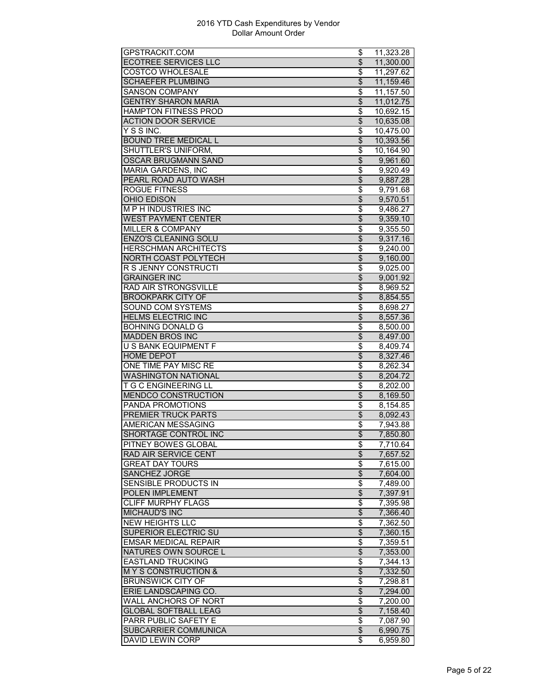| <b>COSTCO WHOLESALE</b><br>\$<br>11,297.62<br><b>SCHAEFER PLUMBING</b><br>\$<br>11,159.46<br>\$<br><b>SANSON COMPANY</b><br>11,157.50<br>$\overline{\$}$<br><b>GENTRY SHARON MARIA</b><br>11,012.75<br>$\overline{\$}$<br><b>HAMPTON FITNESS PROD</b><br>10,692.15<br><b>ACTION DOOR SERVICE</b><br>\$<br>10,635.08<br>Y S S INC.<br>\$<br>10,475.00<br><b>BOUND TREE MEDICAL L</b><br>$\overline{\mathcal{L}}$<br>10,393.56<br><b>SHUTTLER'S UNIFORM,</b><br>\$<br>10,164.90<br>\$<br>OSCAR BRUGMANN SAND<br>9,961.60<br>\$<br><b>MARIA GARDENS, INC</b><br>9,920.49<br>$\overline{\$}$<br>PEARL ROAD AUTO WASH<br>9,887.28<br><b>ROGUE FITNESS</b><br>$\overline{\boldsymbol{\theta}}$<br>9,791.68<br>OHIO EDISON<br>\$<br>9,570.51<br><b>MPH INDUSTRIES INC</b><br>\$<br>9,486.27<br><b>WEST PAYMENT CENTER</b><br>\$<br>9,359.10<br>MILLER & COMPANY<br>\$<br>9,355.50<br>$\overline{\$}$<br><b>ENZO'S CLEANING SOLU</b><br>9,317.16<br>\$<br><b>HERSCHMAN ARCHITECTS</b><br>$\overline{9,}240.00$<br>$\overline{\$}$<br>NORTH COAST POLYTECH<br>$\overline{9,}160.00$<br>R S JENNY CONSTRUCTI<br>$\overline{\boldsymbol{\theta}}$<br>9,025.00<br><b>GRAINGER INC</b><br>$\overline{\mathcal{L}}$<br>9,001.92<br>RAD AIR STRONGSVILLE<br>\$<br>8,969.52<br>$\overline{\$}$<br><b>BROOKPARK CITY OF</b><br>8,854.55<br>$\overline{\$}$<br>SOUND COM SYSTEMS<br>8,698.27<br>$\overline{\$}$<br><b>HELMS ELECTRIC INC</b><br>8,557.36<br><b>BOHNING DONALD G</b><br>\$<br>8,500.00<br>$\overline{\$}$<br><b>MADDEN BROS INC</b><br>8,497.00<br>U S BANK EQUIPMENT F<br>\$<br>8,409.74<br><b>HOME DEPOT</b><br>$\overline{\mathcal{L}}$<br>8,327.46<br>ONE TIME PAY MISC RE<br>\$<br>8,262.34<br>$\overline{\$}$<br><b>WASHINGTON NATIONAL</b><br>8,204.72<br><b>T G C ENGINEERING LL</b><br>$\overline{\$}$<br>8,202.00<br>$\overline{\$}$<br><b>MENDCO CONSTRUCTION</b><br>8,169.50<br>PANDA PROMOTIONS<br>\$<br>8,154.85<br><b>PREMIER TRUCK PARTS</b><br>$\overline{\mathcal{E}}$<br>8,092.43<br>\$<br>AMERICAN MESSAGING<br>7,943.88<br>\$<br>SHORTAGE CONTROL INC<br>7,850.80<br>PITNEY BOWES GLOBAL<br>7,710.64<br>Φ<br>\$<br><b>RAD AIR SERVICE CENT</b><br>7,657.52<br><b>GREAT DAY TOURS</b><br>7,615.00<br>\$<br><b>SANCHEZ JORGE</b><br>$\overline{\$}$<br>7,604.00<br><b>SENSIBLE PRODUCTS IN</b><br>\$<br>7,489.00<br>POLEN IMPLEMENT<br>\$<br>7,397.91<br><b>CLIFF MURPHY FLAGS</b><br>\$<br>7,395.98<br>$\overline{\$}$<br><b>MICHAUD'S INC</b><br>7,366.40<br>$\overline{\$}$<br><b>NEW HEIGHTS LLC</b><br>7,362.50<br>\$<br>SUPERIOR ELECTRIC SU<br>7,360.15<br>$\overline{\$}$<br><b>EMSAR MEDICAL REPAIR</b><br>$\overline{7,}359.51$<br>NATURES OWN SOURCE L<br>$\overline{\theta}$<br>7,353.00<br><b>EASTLAND TRUCKING</b><br>\$<br>$\overline{7,}344.13$<br>MY S CONSTRUCTION &<br>\$<br>7,332.50<br><b>BRUNSWICK CITY OF</b><br>\$<br>7,298.81<br>$\overline{\$}$<br>ERIE LANDSCAPING CO.<br>7,294.00<br><b>WALL ANCHORS OF NORT</b><br>\$<br>7,200.00<br><b>GLOBAL SOFTBALL LEAG</b><br>\$<br>7,158.40<br>PARR PUBLIC SAFETY E<br>\$<br>7,087.90<br>$\overline{\mathcal{S}}$<br>SUBCARRIER COMMUNICA<br>6,990.75 | GPSTRACKIT.COM              | \$<br>11,323.28 |
|-------------------------------------------------------------------------------------------------------------------------------------------------------------------------------------------------------------------------------------------------------------------------------------------------------------------------------------------------------------------------------------------------------------------------------------------------------------------------------------------------------------------------------------------------------------------------------------------------------------------------------------------------------------------------------------------------------------------------------------------------------------------------------------------------------------------------------------------------------------------------------------------------------------------------------------------------------------------------------------------------------------------------------------------------------------------------------------------------------------------------------------------------------------------------------------------------------------------------------------------------------------------------------------------------------------------------------------------------------------------------------------------------------------------------------------------------------------------------------------------------------------------------------------------------------------------------------------------------------------------------------------------------------------------------------------------------------------------------------------------------------------------------------------------------------------------------------------------------------------------------------------------------------------------------------------------------------------------------------------------------------------------------------------------------------------------------------------------------------------------------------------------------------------------------------------------------------------------------------------------------------------------------------------------------------------------------------------------------------------------------------------------------------------------------------------------------------------------------------------------------------------------------------------------------------------------------------------------------------------------------------------------------------------------------------------------------------------------------------------------------------------------------------------------------------------------------------------------------------------------------------------------------------------------------------------------------------------------------------------------------------------------------------------------------------------------------------------------------------------------------------------------|-----------------------------|-----------------|
|                                                                                                                                                                                                                                                                                                                                                                                                                                                                                                                                                                                                                                                                                                                                                                                                                                                                                                                                                                                                                                                                                                                                                                                                                                                                                                                                                                                                                                                                                                                                                                                                                                                                                                                                                                                                                                                                                                                                                                                                                                                                                                                                                                                                                                                                                                                                                                                                                                                                                                                                                                                                                                                                                                                                                                                                                                                                                                                                                                                                                                                                                                                                           | <b>ECOTREE SERVICES LLC</b> | \$<br>11,300.00 |
|                                                                                                                                                                                                                                                                                                                                                                                                                                                                                                                                                                                                                                                                                                                                                                                                                                                                                                                                                                                                                                                                                                                                                                                                                                                                                                                                                                                                                                                                                                                                                                                                                                                                                                                                                                                                                                                                                                                                                                                                                                                                                                                                                                                                                                                                                                                                                                                                                                                                                                                                                                                                                                                                                                                                                                                                                                                                                                                                                                                                                                                                                                                                           |                             |                 |
|                                                                                                                                                                                                                                                                                                                                                                                                                                                                                                                                                                                                                                                                                                                                                                                                                                                                                                                                                                                                                                                                                                                                                                                                                                                                                                                                                                                                                                                                                                                                                                                                                                                                                                                                                                                                                                                                                                                                                                                                                                                                                                                                                                                                                                                                                                                                                                                                                                                                                                                                                                                                                                                                                                                                                                                                                                                                                                                                                                                                                                                                                                                                           |                             |                 |
|                                                                                                                                                                                                                                                                                                                                                                                                                                                                                                                                                                                                                                                                                                                                                                                                                                                                                                                                                                                                                                                                                                                                                                                                                                                                                                                                                                                                                                                                                                                                                                                                                                                                                                                                                                                                                                                                                                                                                                                                                                                                                                                                                                                                                                                                                                                                                                                                                                                                                                                                                                                                                                                                                                                                                                                                                                                                                                                                                                                                                                                                                                                                           |                             |                 |
|                                                                                                                                                                                                                                                                                                                                                                                                                                                                                                                                                                                                                                                                                                                                                                                                                                                                                                                                                                                                                                                                                                                                                                                                                                                                                                                                                                                                                                                                                                                                                                                                                                                                                                                                                                                                                                                                                                                                                                                                                                                                                                                                                                                                                                                                                                                                                                                                                                                                                                                                                                                                                                                                                                                                                                                                                                                                                                                                                                                                                                                                                                                                           |                             |                 |
|                                                                                                                                                                                                                                                                                                                                                                                                                                                                                                                                                                                                                                                                                                                                                                                                                                                                                                                                                                                                                                                                                                                                                                                                                                                                                                                                                                                                                                                                                                                                                                                                                                                                                                                                                                                                                                                                                                                                                                                                                                                                                                                                                                                                                                                                                                                                                                                                                                                                                                                                                                                                                                                                                                                                                                                                                                                                                                                                                                                                                                                                                                                                           |                             |                 |
|                                                                                                                                                                                                                                                                                                                                                                                                                                                                                                                                                                                                                                                                                                                                                                                                                                                                                                                                                                                                                                                                                                                                                                                                                                                                                                                                                                                                                                                                                                                                                                                                                                                                                                                                                                                                                                                                                                                                                                                                                                                                                                                                                                                                                                                                                                                                                                                                                                                                                                                                                                                                                                                                                                                                                                                                                                                                                                                                                                                                                                                                                                                                           |                             |                 |
|                                                                                                                                                                                                                                                                                                                                                                                                                                                                                                                                                                                                                                                                                                                                                                                                                                                                                                                                                                                                                                                                                                                                                                                                                                                                                                                                                                                                                                                                                                                                                                                                                                                                                                                                                                                                                                                                                                                                                                                                                                                                                                                                                                                                                                                                                                                                                                                                                                                                                                                                                                                                                                                                                                                                                                                                                                                                                                                                                                                                                                                                                                                                           |                             |                 |
|                                                                                                                                                                                                                                                                                                                                                                                                                                                                                                                                                                                                                                                                                                                                                                                                                                                                                                                                                                                                                                                                                                                                                                                                                                                                                                                                                                                                                                                                                                                                                                                                                                                                                                                                                                                                                                                                                                                                                                                                                                                                                                                                                                                                                                                                                                                                                                                                                                                                                                                                                                                                                                                                                                                                                                                                                                                                                                                                                                                                                                                                                                                                           |                             |                 |
|                                                                                                                                                                                                                                                                                                                                                                                                                                                                                                                                                                                                                                                                                                                                                                                                                                                                                                                                                                                                                                                                                                                                                                                                                                                                                                                                                                                                                                                                                                                                                                                                                                                                                                                                                                                                                                                                                                                                                                                                                                                                                                                                                                                                                                                                                                                                                                                                                                                                                                                                                                                                                                                                                                                                                                                                                                                                                                                                                                                                                                                                                                                                           |                             |                 |
|                                                                                                                                                                                                                                                                                                                                                                                                                                                                                                                                                                                                                                                                                                                                                                                                                                                                                                                                                                                                                                                                                                                                                                                                                                                                                                                                                                                                                                                                                                                                                                                                                                                                                                                                                                                                                                                                                                                                                                                                                                                                                                                                                                                                                                                                                                                                                                                                                                                                                                                                                                                                                                                                                                                                                                                                                                                                                                                                                                                                                                                                                                                                           |                             |                 |
|                                                                                                                                                                                                                                                                                                                                                                                                                                                                                                                                                                                                                                                                                                                                                                                                                                                                                                                                                                                                                                                                                                                                                                                                                                                                                                                                                                                                                                                                                                                                                                                                                                                                                                                                                                                                                                                                                                                                                                                                                                                                                                                                                                                                                                                                                                                                                                                                                                                                                                                                                                                                                                                                                                                                                                                                                                                                                                                                                                                                                                                                                                                                           |                             |                 |
|                                                                                                                                                                                                                                                                                                                                                                                                                                                                                                                                                                                                                                                                                                                                                                                                                                                                                                                                                                                                                                                                                                                                                                                                                                                                                                                                                                                                                                                                                                                                                                                                                                                                                                                                                                                                                                                                                                                                                                                                                                                                                                                                                                                                                                                                                                                                                                                                                                                                                                                                                                                                                                                                                                                                                                                                                                                                                                                                                                                                                                                                                                                                           |                             |                 |
|                                                                                                                                                                                                                                                                                                                                                                                                                                                                                                                                                                                                                                                                                                                                                                                                                                                                                                                                                                                                                                                                                                                                                                                                                                                                                                                                                                                                                                                                                                                                                                                                                                                                                                                                                                                                                                                                                                                                                                                                                                                                                                                                                                                                                                                                                                                                                                                                                                                                                                                                                                                                                                                                                                                                                                                                                                                                                                                                                                                                                                                                                                                                           |                             |                 |
|                                                                                                                                                                                                                                                                                                                                                                                                                                                                                                                                                                                                                                                                                                                                                                                                                                                                                                                                                                                                                                                                                                                                                                                                                                                                                                                                                                                                                                                                                                                                                                                                                                                                                                                                                                                                                                                                                                                                                                                                                                                                                                                                                                                                                                                                                                                                                                                                                                                                                                                                                                                                                                                                                                                                                                                                                                                                                                                                                                                                                                                                                                                                           |                             |                 |
|                                                                                                                                                                                                                                                                                                                                                                                                                                                                                                                                                                                                                                                                                                                                                                                                                                                                                                                                                                                                                                                                                                                                                                                                                                                                                                                                                                                                                                                                                                                                                                                                                                                                                                                                                                                                                                                                                                                                                                                                                                                                                                                                                                                                                                                                                                                                                                                                                                                                                                                                                                                                                                                                                                                                                                                                                                                                                                                                                                                                                                                                                                                                           |                             |                 |
|                                                                                                                                                                                                                                                                                                                                                                                                                                                                                                                                                                                                                                                                                                                                                                                                                                                                                                                                                                                                                                                                                                                                                                                                                                                                                                                                                                                                                                                                                                                                                                                                                                                                                                                                                                                                                                                                                                                                                                                                                                                                                                                                                                                                                                                                                                                                                                                                                                                                                                                                                                                                                                                                                                                                                                                                                                                                                                                                                                                                                                                                                                                                           |                             |                 |
|                                                                                                                                                                                                                                                                                                                                                                                                                                                                                                                                                                                                                                                                                                                                                                                                                                                                                                                                                                                                                                                                                                                                                                                                                                                                                                                                                                                                                                                                                                                                                                                                                                                                                                                                                                                                                                                                                                                                                                                                                                                                                                                                                                                                                                                                                                                                                                                                                                                                                                                                                                                                                                                                                                                                                                                                                                                                                                                                                                                                                                                                                                                                           |                             |                 |
|                                                                                                                                                                                                                                                                                                                                                                                                                                                                                                                                                                                                                                                                                                                                                                                                                                                                                                                                                                                                                                                                                                                                                                                                                                                                                                                                                                                                                                                                                                                                                                                                                                                                                                                                                                                                                                                                                                                                                                                                                                                                                                                                                                                                                                                                                                                                                                                                                                                                                                                                                                                                                                                                                                                                                                                                                                                                                                                                                                                                                                                                                                                                           |                             |                 |
|                                                                                                                                                                                                                                                                                                                                                                                                                                                                                                                                                                                                                                                                                                                                                                                                                                                                                                                                                                                                                                                                                                                                                                                                                                                                                                                                                                                                                                                                                                                                                                                                                                                                                                                                                                                                                                                                                                                                                                                                                                                                                                                                                                                                                                                                                                                                                                                                                                                                                                                                                                                                                                                                                                                                                                                                                                                                                                                                                                                                                                                                                                                                           |                             |                 |
|                                                                                                                                                                                                                                                                                                                                                                                                                                                                                                                                                                                                                                                                                                                                                                                                                                                                                                                                                                                                                                                                                                                                                                                                                                                                                                                                                                                                                                                                                                                                                                                                                                                                                                                                                                                                                                                                                                                                                                                                                                                                                                                                                                                                                                                                                                                                                                                                                                                                                                                                                                                                                                                                                                                                                                                                                                                                                                                                                                                                                                                                                                                                           |                             |                 |
|                                                                                                                                                                                                                                                                                                                                                                                                                                                                                                                                                                                                                                                                                                                                                                                                                                                                                                                                                                                                                                                                                                                                                                                                                                                                                                                                                                                                                                                                                                                                                                                                                                                                                                                                                                                                                                                                                                                                                                                                                                                                                                                                                                                                                                                                                                                                                                                                                                                                                                                                                                                                                                                                                                                                                                                                                                                                                                                                                                                                                                                                                                                                           |                             |                 |
|                                                                                                                                                                                                                                                                                                                                                                                                                                                                                                                                                                                                                                                                                                                                                                                                                                                                                                                                                                                                                                                                                                                                                                                                                                                                                                                                                                                                                                                                                                                                                                                                                                                                                                                                                                                                                                                                                                                                                                                                                                                                                                                                                                                                                                                                                                                                                                                                                                                                                                                                                                                                                                                                                                                                                                                                                                                                                                                                                                                                                                                                                                                                           |                             |                 |
|                                                                                                                                                                                                                                                                                                                                                                                                                                                                                                                                                                                                                                                                                                                                                                                                                                                                                                                                                                                                                                                                                                                                                                                                                                                                                                                                                                                                                                                                                                                                                                                                                                                                                                                                                                                                                                                                                                                                                                                                                                                                                                                                                                                                                                                                                                                                                                                                                                                                                                                                                                                                                                                                                                                                                                                                                                                                                                                                                                                                                                                                                                                                           |                             |                 |
|                                                                                                                                                                                                                                                                                                                                                                                                                                                                                                                                                                                                                                                                                                                                                                                                                                                                                                                                                                                                                                                                                                                                                                                                                                                                                                                                                                                                                                                                                                                                                                                                                                                                                                                                                                                                                                                                                                                                                                                                                                                                                                                                                                                                                                                                                                                                                                                                                                                                                                                                                                                                                                                                                                                                                                                                                                                                                                                                                                                                                                                                                                                                           |                             |                 |
|                                                                                                                                                                                                                                                                                                                                                                                                                                                                                                                                                                                                                                                                                                                                                                                                                                                                                                                                                                                                                                                                                                                                                                                                                                                                                                                                                                                                                                                                                                                                                                                                                                                                                                                                                                                                                                                                                                                                                                                                                                                                                                                                                                                                                                                                                                                                                                                                                                                                                                                                                                                                                                                                                                                                                                                                                                                                                                                                                                                                                                                                                                                                           |                             |                 |
|                                                                                                                                                                                                                                                                                                                                                                                                                                                                                                                                                                                                                                                                                                                                                                                                                                                                                                                                                                                                                                                                                                                                                                                                                                                                                                                                                                                                                                                                                                                                                                                                                                                                                                                                                                                                                                                                                                                                                                                                                                                                                                                                                                                                                                                                                                                                                                                                                                                                                                                                                                                                                                                                                                                                                                                                                                                                                                                                                                                                                                                                                                                                           |                             |                 |
|                                                                                                                                                                                                                                                                                                                                                                                                                                                                                                                                                                                                                                                                                                                                                                                                                                                                                                                                                                                                                                                                                                                                                                                                                                                                                                                                                                                                                                                                                                                                                                                                                                                                                                                                                                                                                                                                                                                                                                                                                                                                                                                                                                                                                                                                                                                                                                                                                                                                                                                                                                                                                                                                                                                                                                                                                                                                                                                                                                                                                                                                                                                                           |                             |                 |
|                                                                                                                                                                                                                                                                                                                                                                                                                                                                                                                                                                                                                                                                                                                                                                                                                                                                                                                                                                                                                                                                                                                                                                                                                                                                                                                                                                                                                                                                                                                                                                                                                                                                                                                                                                                                                                                                                                                                                                                                                                                                                                                                                                                                                                                                                                                                                                                                                                                                                                                                                                                                                                                                                                                                                                                                                                                                                                                                                                                                                                                                                                                                           |                             |                 |
|                                                                                                                                                                                                                                                                                                                                                                                                                                                                                                                                                                                                                                                                                                                                                                                                                                                                                                                                                                                                                                                                                                                                                                                                                                                                                                                                                                                                                                                                                                                                                                                                                                                                                                                                                                                                                                                                                                                                                                                                                                                                                                                                                                                                                                                                                                                                                                                                                                                                                                                                                                                                                                                                                                                                                                                                                                                                                                                                                                                                                                                                                                                                           |                             |                 |
|                                                                                                                                                                                                                                                                                                                                                                                                                                                                                                                                                                                                                                                                                                                                                                                                                                                                                                                                                                                                                                                                                                                                                                                                                                                                                                                                                                                                                                                                                                                                                                                                                                                                                                                                                                                                                                                                                                                                                                                                                                                                                                                                                                                                                                                                                                                                                                                                                                                                                                                                                                                                                                                                                                                                                                                                                                                                                                                                                                                                                                                                                                                                           |                             |                 |
|                                                                                                                                                                                                                                                                                                                                                                                                                                                                                                                                                                                                                                                                                                                                                                                                                                                                                                                                                                                                                                                                                                                                                                                                                                                                                                                                                                                                                                                                                                                                                                                                                                                                                                                                                                                                                                                                                                                                                                                                                                                                                                                                                                                                                                                                                                                                                                                                                                                                                                                                                                                                                                                                                                                                                                                                                                                                                                                                                                                                                                                                                                                                           |                             |                 |
|                                                                                                                                                                                                                                                                                                                                                                                                                                                                                                                                                                                                                                                                                                                                                                                                                                                                                                                                                                                                                                                                                                                                                                                                                                                                                                                                                                                                                                                                                                                                                                                                                                                                                                                                                                                                                                                                                                                                                                                                                                                                                                                                                                                                                                                                                                                                                                                                                                                                                                                                                                                                                                                                                                                                                                                                                                                                                                                                                                                                                                                                                                                                           |                             |                 |
|                                                                                                                                                                                                                                                                                                                                                                                                                                                                                                                                                                                                                                                                                                                                                                                                                                                                                                                                                                                                                                                                                                                                                                                                                                                                                                                                                                                                                                                                                                                                                                                                                                                                                                                                                                                                                                                                                                                                                                                                                                                                                                                                                                                                                                                                                                                                                                                                                                                                                                                                                                                                                                                                                                                                                                                                                                                                                                                                                                                                                                                                                                                                           |                             |                 |
|                                                                                                                                                                                                                                                                                                                                                                                                                                                                                                                                                                                                                                                                                                                                                                                                                                                                                                                                                                                                                                                                                                                                                                                                                                                                                                                                                                                                                                                                                                                                                                                                                                                                                                                                                                                                                                                                                                                                                                                                                                                                                                                                                                                                                                                                                                                                                                                                                                                                                                                                                                                                                                                                                                                                                                                                                                                                                                                                                                                                                                                                                                                                           |                             |                 |
|                                                                                                                                                                                                                                                                                                                                                                                                                                                                                                                                                                                                                                                                                                                                                                                                                                                                                                                                                                                                                                                                                                                                                                                                                                                                                                                                                                                                                                                                                                                                                                                                                                                                                                                                                                                                                                                                                                                                                                                                                                                                                                                                                                                                                                                                                                                                                                                                                                                                                                                                                                                                                                                                                                                                                                                                                                                                                                                                                                                                                                                                                                                                           |                             |                 |
|                                                                                                                                                                                                                                                                                                                                                                                                                                                                                                                                                                                                                                                                                                                                                                                                                                                                                                                                                                                                                                                                                                                                                                                                                                                                                                                                                                                                                                                                                                                                                                                                                                                                                                                                                                                                                                                                                                                                                                                                                                                                                                                                                                                                                                                                                                                                                                                                                                                                                                                                                                                                                                                                                                                                                                                                                                                                                                                                                                                                                                                                                                                                           |                             |                 |
|                                                                                                                                                                                                                                                                                                                                                                                                                                                                                                                                                                                                                                                                                                                                                                                                                                                                                                                                                                                                                                                                                                                                                                                                                                                                                                                                                                                                                                                                                                                                                                                                                                                                                                                                                                                                                                                                                                                                                                                                                                                                                                                                                                                                                                                                                                                                                                                                                                                                                                                                                                                                                                                                                                                                                                                                                                                                                                                                                                                                                                                                                                                                           |                             |                 |
|                                                                                                                                                                                                                                                                                                                                                                                                                                                                                                                                                                                                                                                                                                                                                                                                                                                                                                                                                                                                                                                                                                                                                                                                                                                                                                                                                                                                                                                                                                                                                                                                                                                                                                                                                                                                                                                                                                                                                                                                                                                                                                                                                                                                                                                                                                                                                                                                                                                                                                                                                                                                                                                                                                                                                                                                                                                                                                                                                                                                                                                                                                                                           |                             |                 |
|                                                                                                                                                                                                                                                                                                                                                                                                                                                                                                                                                                                                                                                                                                                                                                                                                                                                                                                                                                                                                                                                                                                                                                                                                                                                                                                                                                                                                                                                                                                                                                                                                                                                                                                                                                                                                                                                                                                                                                                                                                                                                                                                                                                                                                                                                                                                                                                                                                                                                                                                                                                                                                                                                                                                                                                                                                                                                                                                                                                                                                                                                                                                           |                             |                 |
|                                                                                                                                                                                                                                                                                                                                                                                                                                                                                                                                                                                                                                                                                                                                                                                                                                                                                                                                                                                                                                                                                                                                                                                                                                                                                                                                                                                                                                                                                                                                                                                                                                                                                                                                                                                                                                                                                                                                                                                                                                                                                                                                                                                                                                                                                                                                                                                                                                                                                                                                                                                                                                                                                                                                                                                                                                                                                                                                                                                                                                                                                                                                           |                             |                 |
|                                                                                                                                                                                                                                                                                                                                                                                                                                                                                                                                                                                                                                                                                                                                                                                                                                                                                                                                                                                                                                                                                                                                                                                                                                                                                                                                                                                                                                                                                                                                                                                                                                                                                                                                                                                                                                                                                                                                                                                                                                                                                                                                                                                                                                                                                                                                                                                                                                                                                                                                                                                                                                                                                                                                                                                                                                                                                                                                                                                                                                                                                                                                           |                             |                 |
|                                                                                                                                                                                                                                                                                                                                                                                                                                                                                                                                                                                                                                                                                                                                                                                                                                                                                                                                                                                                                                                                                                                                                                                                                                                                                                                                                                                                                                                                                                                                                                                                                                                                                                                                                                                                                                                                                                                                                                                                                                                                                                                                                                                                                                                                                                                                                                                                                                                                                                                                                                                                                                                                                                                                                                                                                                                                                                                                                                                                                                                                                                                                           |                             |                 |
|                                                                                                                                                                                                                                                                                                                                                                                                                                                                                                                                                                                                                                                                                                                                                                                                                                                                                                                                                                                                                                                                                                                                                                                                                                                                                                                                                                                                                                                                                                                                                                                                                                                                                                                                                                                                                                                                                                                                                                                                                                                                                                                                                                                                                                                                                                                                                                                                                                                                                                                                                                                                                                                                                                                                                                                                                                                                                                                                                                                                                                                                                                                                           |                             |                 |
|                                                                                                                                                                                                                                                                                                                                                                                                                                                                                                                                                                                                                                                                                                                                                                                                                                                                                                                                                                                                                                                                                                                                                                                                                                                                                                                                                                                                                                                                                                                                                                                                                                                                                                                                                                                                                                                                                                                                                                                                                                                                                                                                                                                                                                                                                                                                                                                                                                                                                                                                                                                                                                                                                                                                                                                                                                                                                                                                                                                                                                                                                                                                           |                             |                 |
|                                                                                                                                                                                                                                                                                                                                                                                                                                                                                                                                                                                                                                                                                                                                                                                                                                                                                                                                                                                                                                                                                                                                                                                                                                                                                                                                                                                                                                                                                                                                                                                                                                                                                                                                                                                                                                                                                                                                                                                                                                                                                                                                                                                                                                                                                                                                                                                                                                                                                                                                                                                                                                                                                                                                                                                                                                                                                                                                                                                                                                                                                                                                           |                             |                 |
|                                                                                                                                                                                                                                                                                                                                                                                                                                                                                                                                                                                                                                                                                                                                                                                                                                                                                                                                                                                                                                                                                                                                                                                                                                                                                                                                                                                                                                                                                                                                                                                                                                                                                                                                                                                                                                                                                                                                                                                                                                                                                                                                                                                                                                                                                                                                                                                                                                                                                                                                                                                                                                                                                                                                                                                                                                                                                                                                                                                                                                                                                                                                           |                             |                 |
|                                                                                                                                                                                                                                                                                                                                                                                                                                                                                                                                                                                                                                                                                                                                                                                                                                                                                                                                                                                                                                                                                                                                                                                                                                                                                                                                                                                                                                                                                                                                                                                                                                                                                                                                                                                                                                                                                                                                                                                                                                                                                                                                                                                                                                                                                                                                                                                                                                                                                                                                                                                                                                                                                                                                                                                                                                                                                                                                                                                                                                                                                                                                           |                             |                 |
|                                                                                                                                                                                                                                                                                                                                                                                                                                                                                                                                                                                                                                                                                                                                                                                                                                                                                                                                                                                                                                                                                                                                                                                                                                                                                                                                                                                                                                                                                                                                                                                                                                                                                                                                                                                                                                                                                                                                                                                                                                                                                                                                                                                                                                                                                                                                                                                                                                                                                                                                                                                                                                                                                                                                                                                                                                                                                                                                                                                                                                                                                                                                           |                             |                 |
|                                                                                                                                                                                                                                                                                                                                                                                                                                                                                                                                                                                                                                                                                                                                                                                                                                                                                                                                                                                                                                                                                                                                                                                                                                                                                                                                                                                                                                                                                                                                                                                                                                                                                                                                                                                                                                                                                                                                                                                                                                                                                                                                                                                                                                                                                                                                                                                                                                                                                                                                                                                                                                                                                                                                                                                                                                                                                                                                                                                                                                                                                                                                           |                             |                 |
|                                                                                                                                                                                                                                                                                                                                                                                                                                                                                                                                                                                                                                                                                                                                                                                                                                                                                                                                                                                                                                                                                                                                                                                                                                                                                                                                                                                                                                                                                                                                                                                                                                                                                                                                                                                                                                                                                                                                                                                                                                                                                                                                                                                                                                                                                                                                                                                                                                                                                                                                                                                                                                                                                                                                                                                                                                                                                                                                                                                                                                                                                                                                           |                             |                 |
|                                                                                                                                                                                                                                                                                                                                                                                                                                                                                                                                                                                                                                                                                                                                                                                                                                                                                                                                                                                                                                                                                                                                                                                                                                                                                                                                                                                                                                                                                                                                                                                                                                                                                                                                                                                                                                                                                                                                                                                                                                                                                                                                                                                                                                                                                                                                                                                                                                                                                                                                                                                                                                                                                                                                                                                                                                                                                                                                                                                                                                                                                                                                           |                             |                 |
|                                                                                                                                                                                                                                                                                                                                                                                                                                                                                                                                                                                                                                                                                                                                                                                                                                                                                                                                                                                                                                                                                                                                                                                                                                                                                                                                                                                                                                                                                                                                                                                                                                                                                                                                                                                                                                                                                                                                                                                                                                                                                                                                                                                                                                                                                                                                                                                                                                                                                                                                                                                                                                                                                                                                                                                                                                                                                                                                                                                                                                                                                                                                           |                             |                 |
|                                                                                                                                                                                                                                                                                                                                                                                                                                                                                                                                                                                                                                                                                                                                                                                                                                                                                                                                                                                                                                                                                                                                                                                                                                                                                                                                                                                                                                                                                                                                                                                                                                                                                                                                                                                                                                                                                                                                                                                                                                                                                                                                                                                                                                                                                                                                                                                                                                                                                                                                                                                                                                                                                                                                                                                                                                                                                                                                                                                                                                                                                                                                           |                             |                 |
|                                                                                                                                                                                                                                                                                                                                                                                                                                                                                                                                                                                                                                                                                                                                                                                                                                                                                                                                                                                                                                                                                                                                                                                                                                                                                                                                                                                                                                                                                                                                                                                                                                                                                                                                                                                                                                                                                                                                                                                                                                                                                                                                                                                                                                                                                                                                                                                                                                                                                                                                                                                                                                                                                                                                                                                                                                                                                                                                                                                                                                                                                                                                           |                             |                 |
|                                                                                                                                                                                                                                                                                                                                                                                                                                                                                                                                                                                                                                                                                                                                                                                                                                                                                                                                                                                                                                                                                                                                                                                                                                                                                                                                                                                                                                                                                                                                                                                                                                                                                                                                                                                                                                                                                                                                                                                                                                                                                                                                                                                                                                                                                                                                                                                                                                                                                                                                                                                                                                                                                                                                                                                                                                                                                                                                                                                                                                                                                                                                           |                             |                 |
|                                                                                                                                                                                                                                                                                                                                                                                                                                                                                                                                                                                                                                                                                                                                                                                                                                                                                                                                                                                                                                                                                                                                                                                                                                                                                                                                                                                                                                                                                                                                                                                                                                                                                                                                                                                                                                                                                                                                                                                                                                                                                                                                                                                                                                                                                                                                                                                                                                                                                                                                                                                                                                                                                                                                                                                                                                                                                                                                                                                                                                                                                                                                           |                             |                 |
|                                                                                                                                                                                                                                                                                                                                                                                                                                                                                                                                                                                                                                                                                                                                                                                                                                                                                                                                                                                                                                                                                                                                                                                                                                                                                                                                                                                                                                                                                                                                                                                                                                                                                                                                                                                                                                                                                                                                                                                                                                                                                                                                                                                                                                                                                                                                                                                                                                                                                                                                                                                                                                                                                                                                                                                                                                                                                                                                                                                                                                                                                                                                           |                             |                 |
|                                                                                                                                                                                                                                                                                                                                                                                                                                                                                                                                                                                                                                                                                                                                                                                                                                                                                                                                                                                                                                                                                                                                                                                                                                                                                                                                                                                                                                                                                                                                                                                                                                                                                                                                                                                                                                                                                                                                                                                                                                                                                                                                                                                                                                                                                                                                                                                                                                                                                                                                                                                                                                                                                                                                                                                                                                                                                                                                                                                                                                                                                                                                           |                             |                 |
|                                                                                                                                                                                                                                                                                                                                                                                                                                                                                                                                                                                                                                                                                                                                                                                                                                                                                                                                                                                                                                                                                                                                                                                                                                                                                                                                                                                                                                                                                                                                                                                                                                                                                                                                                                                                                                                                                                                                                                                                                                                                                                                                                                                                                                                                                                                                                                                                                                                                                                                                                                                                                                                                                                                                                                                                                                                                                                                                                                                                                                                                                                                                           |                             |                 |
|                                                                                                                                                                                                                                                                                                                                                                                                                                                                                                                                                                                                                                                                                                                                                                                                                                                                                                                                                                                                                                                                                                                                                                                                                                                                                                                                                                                                                                                                                                                                                                                                                                                                                                                                                                                                                                                                                                                                                                                                                                                                                                                                                                                                                                                                                                                                                                                                                                                                                                                                                                                                                                                                                                                                                                                                                                                                                                                                                                                                                                                                                                                                           | <b>DAVID LEWIN CORP</b>     | \$<br>6,959.80  |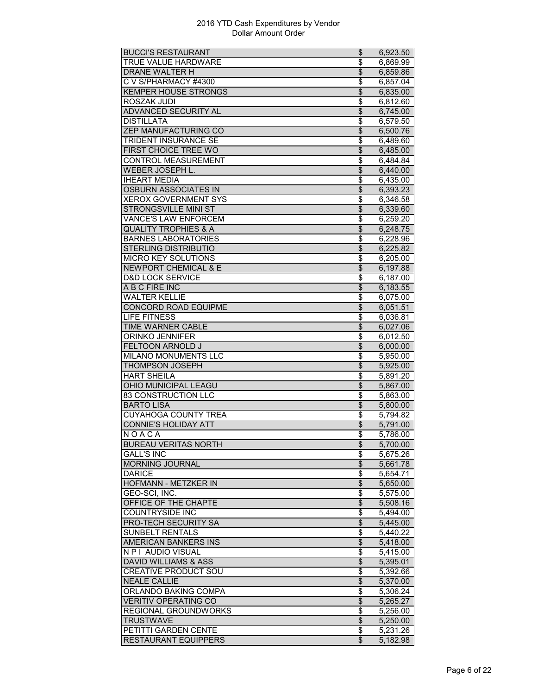| <b>BUCCI'S RESTAURANT</b>       | \$                               | 6,923.50              |
|---------------------------------|----------------------------------|-----------------------|
| <b>TRUE VALUE HARDWARE</b>      | \$                               | 6,869.99              |
| DRANE WALTER H                  | \$                               | 6,859.86              |
| C V S/PHARMACY #4300            | \$                               | 6,857.04              |
| <b>KEMPER HOUSE STRONGS</b>     | $\overline{\$}$                  | 6,835.00              |
| ROSZAK JUDI                     | $\overline{\$}$                  | 6,812.60              |
| <b>ADVANCED SECURITY AL</b>     | $\overline{\$}$                  | 6,745.00              |
| <b>DISTILLATA</b>               | \$                               | 6,579.50              |
| <b>ZEP MANUFACTURING CO</b>     | $\overline{\mathcal{L}}$         | 6,500.76              |
| <b>TRIDENT INSURANCE SE</b>     | \$                               | 6,489.60              |
| <b>FIRST CHOICE TREE WO</b>     | $\overline{\mathcal{L}}$         | 6,485.00              |
| CONTROL MEASUREMENT             |                                  |                       |
|                                 | \$<br>$\overline{\$}$            | 6,484.84              |
| WEBER JOSEPH L.                 |                                  | 6,440.00              |
| <b>IHEART MEDIA</b>             | \$                               | 6,435.00              |
| <b>OSBURN ASSOCIATES IN</b>     | $\overline{\$}$                  | 6,393.23              |
| <b>XEROX GOVERNMENT SYS</b>     | \$                               | 6,346.58              |
| <b>STRONGSVILLE MINI ST</b>     | \$                               | 6,339.60              |
| VANCE'S LAW ENFORCEM            | \$                               | 6,259.20              |
| <b>QUALITY TROPHIES &amp; A</b> | \$                               | 6,248.75              |
| <b>BARNES LABORATORIES</b>      | \$                               | 6,228.96              |
| STERLING DISTRIBUTIO            | \$                               | 6,225.82              |
| <b>MICRO KEY SOLUTIONS</b>      | \$                               | 6,205.00              |
| <b>NEWPORT CHEMICAL &amp; E</b> | \$                               | 6,197.88              |
| <b>D&amp;D LOCK SERVICE</b>     | \$                               | 6,187.00              |
| A B C FIRE INC                  | \$                               | 6,183.55              |
| <b>WALTER KELLIE</b>            | \$                               | 6,075.00              |
| CONCORD ROAD EQUIPME            | $\overline{\$}$                  | 6,051.51              |
| <b>LIFE FITNESS</b>             | $\overline{\$}$                  | 6,036.81              |
| <b>TIME WARNER CABLE</b>        | \$                               | 6,027.06              |
| ORINKO JENNIFER                 | \$                               | 6,012.50              |
| <b>FELTOON ARNOLD J</b>         | $\overline{\mathcal{L}}$         | 6,000.00              |
| <b>MILANO MONUMENTS LLC</b>     | \$                               | 5,950.00              |
| THOMPSON JOSEPH                 | \$                               | 5,925.00              |
| <b>HART SHEILA</b>              | $\overline{\$}$                  | 5,891.20              |
| OHIO MUNICIPAL LEAGU            | $\overline{\$}$                  | 5,867.00              |
| <b>83 CONSTRUCTION LLC</b>      | $\overline{\boldsymbol{\theta}}$ | $\overline{5,86}3.00$ |
| <b>BARTO LISA</b>               | \$                               | 5,800.00              |
| <b>CUYAHOGA COUNTY TREA</b>     | \$                               |                       |
|                                 |                                  | 5,794.82              |
| <b>CONNIE'S HOLIDAY ATT</b>     | \$                               | 5.791.00              |
| NOACA                           | \$                               | 5.786.00              |
| <b>BUREAU VERITAS NORTH</b>     | \$                               | 5,700.00              |
| <b>GALL'S INC</b>               | \$                               | 5,675.26              |
| <b>MORNING JOURNAL</b>          | $\overline{\theta}$              | 5,661.78              |
| <b>DARICE</b>                   | \$                               | 5,654.71              |
| HOFMANN - METZKER IN            | \$                               | 5,650.00              |
| GEO-SCI, INC.                   | \$                               | 5,575.00              |
| OFFICE OF THE CHAPTE            | $\overline{\$}$                  | 5,508.16              |
| COUNTRYSIDE INC                 | \$                               | 5,494.00              |
| <b>PRO-TECH SECURITY SA</b>     | $\overline{\$}$                  | 5,445.00              |
| <b>SUNBELT RENTALS</b>          | \$                               | 5,440.22              |
| <b>AMERICAN BANKERS INS</b>     | $\overline{\$}$                  | 5,418.00              |
| <b>N P I AUDIO VISUAL</b>       | \$                               | 5,415.00              |
| <b>DAVID WILLIAMS &amp; ASS</b> | $\overline{\mathcal{L}}$         | 5,395.01              |
| <b>CREATIVE PRODUCT SOU</b>     | \$                               | 5,392.66              |
| <b>NEALE CALLIE</b>             | $\overline{\$}$                  | 5,370.00              |
| <b>ORLANDO BAKING COMPA</b>     | $\overline{\$}$                  | 5,306.24              |
| <b>VERITIV OPERATING CO</b>     | $\overline{\$}$                  | 5,265.27              |
| REGIONAL GROUNDWORKS            | \$                               | 5,256.00              |
| <b>TRUSTWAVE</b>                | \$                               | 5,250.00              |
| PETITTI GARDEN CENTE            | \$                               | 5,231.26              |
| <b>RESTAURANT EQUIPPERS</b>     | $\overline{\mathcal{E}}$         | 5,182.98              |
|                                 |                                  |                       |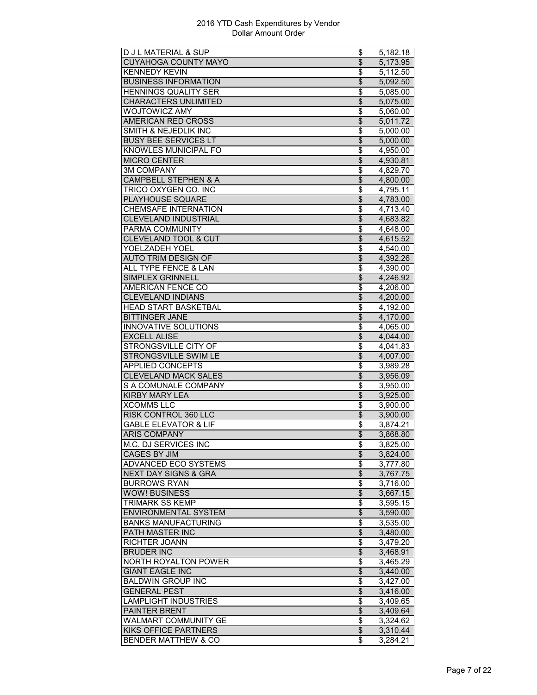|                                 | \$                       | 5,182.18             |
|---------------------------------|--------------------------|----------------------|
| <b>CUYAHOGA COUNTY MAYO</b>     | $\overline{\mathcal{L}}$ | 5,173.95             |
| <b>KENNEDY KEVIN</b>            | \$                       | 5,112.50             |
| <b>BUSINESS INFORMATION</b>     | \$                       | 5,092.50             |
| <b>HENNINGS QUALITY SER</b>     | \$                       | 5,085.00             |
| <b>CHARACTERS UNLIMITED</b>     | $\overline{\$}$          | 5,075.00             |
| <b>WOJTOWICZ AMY</b>            | $\overline{\$}$          | 5,060.00             |
| AMERICAN RED CROSS              | \$                       | 5,011.72             |
| <b>SMITH &amp; NEJEDLIK INC</b> | \$                       | 5,000.00             |
| <b>BUSY BEE SERVICES LT</b>     | $\overline{\mathcal{L}}$ | 5,000.00             |
| <b>KNOWLES MUNICIPAL FO</b>     | \$                       | 4,950.00             |
| <b>MICRO CENTER</b>             | \$                       | 4,930.81             |
| <b>3M COMPANY</b>               | \$                       | 4,829.70             |
| <b>CAMPBELL STEPHEN &amp; A</b> | $\overline{\$}$          | 4,800.00             |
| <b>TRICO OXYGEN CO. INC</b>     | \$                       | 4,795.11             |
| PLAYHOUSE SQUARE                | \$                       | 4,783.00             |
| <b>CHEMSAFE INTERNATION</b>     | \$                       | 4,713.40             |
| <b>CLEVELAND INDUSTRIAL</b>     | \$                       | 4,683.82             |
| PARMA COMMUNITY                 | \$                       | 4,648.00             |
| <b>CLEVELAND TOOL &amp; CUT</b> | $\overline{\$}$          | 4,615.52             |
| YOELZADEH YOEL                  | \$                       | 4,540.00             |
| <b>AUTO TRIM DESIGN OF</b>      | $\overline{\$}$          | 4,392.26             |
| <b>ALL TYPE FENCE &amp; LAN</b> | \$                       | 4,390.00             |
| <b>SIMPLEX GRINNELL</b>         | $\overline{\$}$          | 4,246.92             |
| <b>AMERICAN FENCE CO</b>        | \$                       | 4,206.00             |
| <b>CLEVELAND INDIANS</b>        | $\overline{\mathcal{L}}$ | 4,200.00             |
| <b>HEAD START BASKETBAL</b>     | \$                       | 4,192.00             |
| <b>BITTINGER JANE</b>           | $\overline{\$}$          | 4,170.00             |
| <b>INNOVATIVE SOLUTIONS</b>     | \$                       | 4,065.00             |
| <b>EXCELL ALISE</b>             | $\overline{\$}$          | 4,044.00             |
| STRONGSVILLE CITY OF            | \$                       | 4,041.83             |
| <b>STRONGSVILLE SWIM LE</b>     | $\overline{\mathcal{L}}$ | 4,007.00             |
| <b>APPLIED CONCEPTS</b>         |                          |                      |
| <b>CLEVELAND MACK SALES</b>     | \$<br>$\overline{\$}$    | 3,989.28<br>3,956.09 |
|                                 |                          |                      |
|                                 |                          |                      |
| S A COMUNALE COMPANY            | \$                       | 3,950.00             |
| <b>KIRBY MARY LEA</b>           | $\overline{\$}$          | 3,925.00             |
| <b>XCOMMS LLC</b>               | \$                       | 3,900.00             |
| <b>RISK CONTROL 360 LLC</b>     | $\overline{\mathcal{L}}$ | 3,900.00             |
| <b>GABLE ELEVATOR &amp; LIF</b> | \$                       | 3,874.21             |
| <b>ARIS COMPANY</b>             | \$                       | 3,868.80             |
| M.C. DJ SERVICES INC            | \$                       | 3,825.00             |
| CAGES BY JIM                    | \$                       | 3,824.00             |
| ADVANCED ECO SYSTEMS            | \$                       | 3,777.80             |
| <b>NEXT DAY SIGNS &amp; GRA</b> | $\overline{\theta}$      | 3,767.75             |
| <b>BURROWS RYAN</b>             | \$                       | 3,716.00             |
| <b>WOW! BUSINESS</b>            | \$                       | 3,667.15             |
| <b>TRIMARK SS KEMP</b>          | \$                       | 3,595.15             |
| <b>ENVIRONMENTAL SYSTEM</b>     | $\overline{\$}$          | 3,590.00             |
| <b>BANKS MANUFACTURING</b>      | \$                       | 3,535.00             |
| PATH MASTER INC                 | $\overline{\mathbf{3}}$  | 3,480.00             |
| RICHTER JOANN                   | \$                       | 3,479.20             |
| <b>BRUDER INC</b>               | $\overline{\$}$          | 3,468.91             |
| <b>NORTH ROYALTON POWER</b>     | \$                       | 3,465.29             |
| <b>GIANT EAGLE INC</b>          | \$                       | 3,440.00             |
| <b>BALDWIN GROUP INC</b>        | \$                       | 3,427.00             |
| <b>GENERAL PEST</b>             | $\overline{\$}$          | 3,416.00             |
| <b>LAMPLIGHT INDUSTRIES</b>     | \$                       | 3,409.65             |
| PAINTER BRENT                   | \$                       | 3,409.64             |
| WALMART COMMUNITY GE            | \$                       | 3,324.62             |
| KIKS OFFICE PARTNERS            | \$                       | 3,310.44             |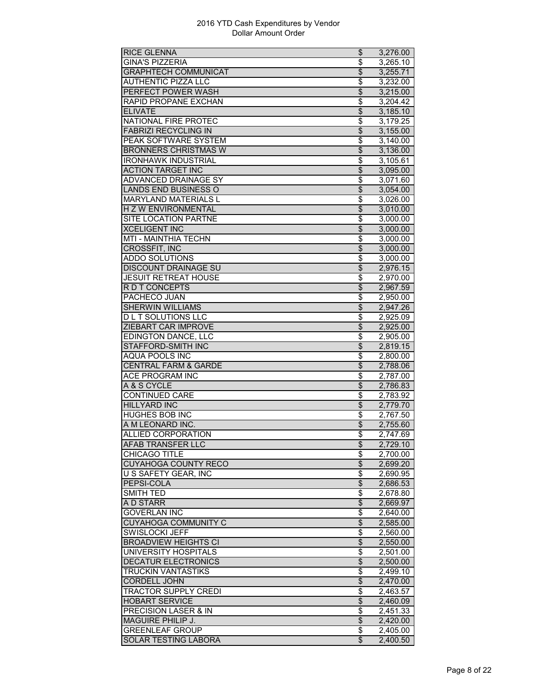| <b>RICE GLENNA</b>                     | \$                               | 3,276.00             |
|----------------------------------------|----------------------------------|----------------------|
| <b>GINA'S PIZZERIA</b>                 | \$                               | 3,265.10             |
| <b>GRAPHTECH COMMUNICAT</b>            | $\overline{\theta}$              | 3,255.71             |
| <b>AUTHENTIC PIZZA LLC</b>             | \$                               | 3,232.00             |
| PERFECT POWER WASH                     | $\overline{\mathcal{L}}$         | 3,215.00             |
| RAPID PROPANE EXCHAN                   | \$                               | 3,204.42             |
| <b>ELIVATE</b>                         | $\overline{\$}$                  | 3,185.10             |
| NATIONAL FIRE PROTEC                   | \$                               | 3,179.25             |
| <b>FABRIZI RECYCLING IN</b>            | $\overline{\$}$                  | 3,155.00             |
| PEAK SOFTWARE SYSTEM                   | \$                               | 3,140.00             |
| <b>BRONNERS CHRISTMAS W</b>            | $\overline{\mathcal{L}}$         | 3,136.00             |
| <b>IRONHAWK INDUSTRIAL</b>             | \$                               | 3,105.61             |
| <b>ACTION TARGET INC</b>               | $\overline{\$}$                  | 3,095.00             |
| ADVANCED DRAINAGE SY                   | $\overline{\$}$                  | 3,071.60             |
| <b>LANDS END BUSINESS O</b>            | $\overline{\$}$                  | 3,054.00             |
| <b>MARYLAND MATERIALS L</b>            | \$                               | 3,026.00             |
| H Z W ENVIRONMENTAL                    | $\overline{\theta}$              | 3,010.00             |
| <b>SITE LOCATION PARTNE</b>            | \$                               | 3,000.00             |
| <b>XCELIGENT INC</b>                   | \$                               | 3.000.00             |
| MTI - MAINTHIA TECHN                   | \$                               | 3,000.00             |
|                                        |                                  |                      |
| CROSSFIT, INC<br><b>ADDO SOLUTIONS</b> | \$<br>$\overline{\$}$            | 3,000.00<br>3,000.00 |
|                                        |                                  |                      |
| <b>DISCOUNT DRAINAGE SU</b>            | $\overline{\$}$                  | 2,976.15             |
| <b>JESUIT RETREAT HOUSE</b>            | $\overline{\boldsymbol{\theta}}$ | 2,970.00             |
| R D T CONCEPTS                         | \$                               | 2,967.59             |
| PACHECO JUAN                           | \$                               | 2,950.00             |
| <b>SHERWIN WILLIAMS</b>                | $\overline{\$}$                  | 2,947.26             |
| <b>DLT SOLUTIONS LLC</b>               | \$                               | 2,925.09             |
| ZIEBART CAR IMPROVE                    | $\overline{\$}$                  | 2,925.00             |
| <b>EDINGTON DANCE, LLC</b>             | $\overline{\boldsymbol{\theta}}$ | 2,905.00             |
| <b>STAFFORD-SMITH INC</b>              | $\overline{\$}$                  | 2,819.15             |
| <b>AQUA POOLS INC</b>                  | \$                               | 2,800.00             |
| <b>CENTRAL FARM &amp; GARDE</b>        | \$                               | 2,788.06             |
| ACE PROGRAM INC                        | \$                               | 2,787.00             |
| A & S CYCLE                            | $\overline{\$}$                  | 2,786.83             |
| <b>CONTINUED CARE</b>                  | $\overline{\$}$                  | 2,783.92             |
| <b>HILLYARD INC</b>                    | \$                               | 2,779.70             |
| <b>HUGHES BOB INC</b>                  | $\overline{\boldsymbol{\theta}}$ | 2,767.50             |
| A M LEONARD INC.                       | \$                               | 2,755.60             |
| ALLIED CORPORATION                     | \$                               | 2,747.69             |
| AFAB TRANSFER LLC                      | \$                               | 2,729.10             |
| <b>CHICAGO TITLE</b>                   | \$                               | 2,700.00             |
| <b>CUYAHOGA COUNTY RECO</b>            | $\overline{\$}$                  | 2,699.20             |
| U S SAFETY GEAR, INC                   | \$                               | 2,690.95             |
| PEPSI-COLA                             | $\overline{\$}$                  | 2,686.53             |
| SMITH TED                              | \$                               | 2,678.80             |
| A D STARR                              | $\overline{\mathcal{E}}$         | 2,669.97             |
| <b>GOVERLAN INC</b>                    | \$                               | 2,640.00             |
| <b>CUYAHOGA COMMUNITY C</b>            | $\overline{\$}$                  | 2,585.00             |
| <b>SWISLOCKI JEFF</b>                  | \$                               | 2,560.00             |
| <b>BROADVIEW HEIGHTS CI</b>            | $\overline{\$}$                  | 2,550.00             |
| <b>UNIVERSITY HOSPITALS</b>            | $\overline{\boldsymbol{\theta}}$ | 2,501.00             |
| <b>DECATUR ELECTRONICS</b>             | $\overline{\mathcal{L}}$         | 2,500.00             |
| <b>TRUCKIN VANTASTIKS</b>              | \$                               | 2,499.10             |
| CORDELL JOHN                           | \$                               | 2,470.00             |
| TRACTOR SUPPLY CREDI                   | \$                               | 2,463.57             |
| <b>HOBART SERVICE</b>                  | $\overline{\$}$                  | 2,460.09             |
| PRECISION LASER & IN                   | \$                               | 2,451.33             |
| <b>MAGUIRE PHILIP J.</b>               | $\overline{\$}$                  | 2,420.00             |
| <b>GREENLEAF GROUP</b>                 |                                  |                      |
| <b>SOLAR TESTING LABORA</b>            | \$<br>\$                         | 2,405.00             |
|                                        |                                  | 2,400.50             |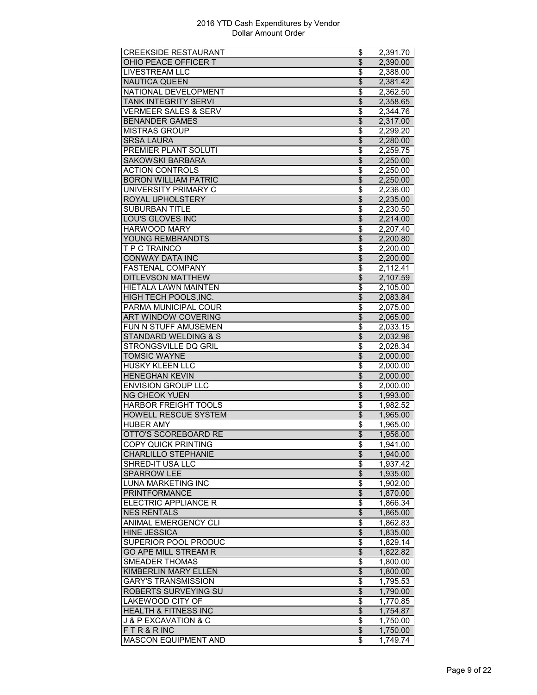| <b>CREEKSIDE RESTAURANT</b>         | \$                                 | 2,391.70 |
|-------------------------------------|------------------------------------|----------|
| OHIO PEACE OFFICER T                | $\overline{\mathcal{L}}$           | 2,390.00 |
| <b>LIVESTREAM LLC</b>               | \$                                 | 2,388.00 |
| <b>NAUTICA QUEEN</b>                | \$                                 | 2,381.42 |
| NATIONAL DEVELOPMENT                | \$                                 | 2,362.50 |
| <b>TANK INTEGRITY SERVI</b>         | \$                                 | 2,358.65 |
| <b>VERMEER SALES &amp; SERV</b>     | \$                                 | 2,344.76 |
| <b>BENANDER GAMES</b>               | \$                                 | 2,317.00 |
| <b>MISTRAS GROUP</b>                | \$                                 | 2,299.20 |
| <b>SRSA LAURA</b>                   | $\overline{\mathcal{E}}$           | 2,280.00 |
| <b>PREMIER PLANT SOLUTI</b>         | \$                                 | 2,259.75 |
| <b>SAKOWSKI BARBARA</b>             | \$                                 | 2,250.00 |
| <b>ACTION CONTROLS</b>              | $\overline{\$}$                    | 2,250.00 |
| <b>BORON WILLIAM PATRIC</b>         | $\overline{\$}$                    | 2,250.00 |
| UNIVERSITY PRIMARY C                | $\overline{\boldsymbol{\theta}}$   | 2,236.00 |
| ROYAL UPHOLSTERY                    | \$                                 | 2,235.00 |
| <b>SUBURBAN TITLE</b>               |                                    |          |
|                                     | \$                                 | 2,230.50 |
| LOU'S GLOVES INC                    | \$                                 | 2,214.00 |
| <b>HARWOOD MARY</b>                 | \$                                 | 2.207.40 |
| YOUNG REMBRANDTS                    | $\overline{\$}$                    | 2,200.80 |
| T P C TRAINCO                       | \$                                 | 2,200.00 |
| <b>CONWAY DATA INC</b>              | $\overline{\theta}$                | 2,200.00 |
| <b>FASTENAL COMPANY</b>             | \$                                 | 2,112.41 |
| <b>DITLEVSON MATTHEW</b>            | $\overline{\mathcal{E}}$           | 2,107.59 |
| HIETALA LAWN MAINTEN                | \$                                 | 2,105.00 |
| HIGH TECH POOLS, INC.               | $\overline{\$}$                    | 2,083.84 |
| PARMA MUNICIPAL COUR                | \$                                 | 2,075.00 |
| <b>ART WINDOW COVERING</b>          | $\overline{\$}$                    | 2,065.00 |
| FUN N STUFF AMUSEMEN                | \$                                 | 2,033.15 |
| <b>STANDARD WELDING &amp; S</b>     | $\overline{\theta}$                | 2,032.96 |
| STRONGSVILLE DQ GRIL                | \$                                 | 2,028.34 |
| <b>TOMSIC WAYNE</b>                 | \$                                 | 2,000.00 |
| <b>HUSKY KLEEN LLC</b>              | \$                                 | 2,000.00 |
| <b>HENEGHAN KEVIN</b>               | $\overline{\$}$                    | 2,000.00 |
| <b>ENVISION GROUP LLC</b>           | \$                                 | 2,000.00 |
| <b>NG CHEOK YUEN</b>                | $\overline{\$}$                    | 1,993.00 |
| HARBOR FREIGHT TOOLS                | \$                                 | 1,982.52 |
| <b>HOWELL RESCUE SYSTEM</b>         | \$                                 | 1,965.00 |
| <b>HUBER AMY</b>                    | \$                                 | 1,965.00 |
|                                     | $\overline{\mathcal{L}}$           |          |
| OTTO'S SCOREBOARD RE                |                                    | 1,956.00 |
| COPY QUICK PRINTING                 | Φ                                  | 1,941.00 |
| <b>CHARLILLO STEPHANIE</b>          | \$                                 | 1,940.00 |
| SHRED-IT USA LLC                    | \$                                 | 1,937.42 |
| <b>SPARROW LEE</b>                  | $\overline{\$}$                    | 1,935.00 |
| <b>LUNA MARKETING INC</b>           | \$                                 | 1,902.00 |
| PRINTFORMANCE                       | \$                                 | 1,870.00 |
| ELECTRIC APPLIANCE R                | \$                                 | 1,866.34 |
| <b>NES RENTALS</b>                  | $\overline{\mathcal{L}}$           | 1,865.00 |
| ANIMAL EMERGENCY CLI                | $\overline{\$}$                    | 1,862.83 |
| <b>HINE JESSICA</b>                 | $\overline{\theta}$                | 1,835.00 |
| SUPERIOR POOL PRODUC                | $\overline{\boldsymbol{\epsilon}}$ | 1,829.14 |
| <b>GO APE MILL STREAM R</b>         | $\overline{\theta}$                | 1,822.82 |
| <b>SMEADER THOMAS</b>               | \$                                 | 1,800.00 |
| KIMBERLIN MARY ELLEN                | \$                                 | 1,800.00 |
| <b>GARY'S TRANSMISSION</b>          | \$                                 | 1,795.53 |
| <b>ROBERTS SURVEYING SU</b>         | $\overline{\$}$                    | 1,790.00 |
| <b>LAKEWOOD CITY OF</b>             | \$                                 | 1,770.85 |
| <b>HEALTH &amp; FITNESS INC</b>     | \$                                 | 1,754.87 |
| <b>J &amp; P EXCAVATION &amp; C</b> | \$                                 | 1,750.00 |
| FTR&RINC                            | \$                                 | 1,750.00 |
|                                     |                                    |          |
| <b>MASCON EQUIPMENT AND</b>         | \$                                 | 1,749.74 |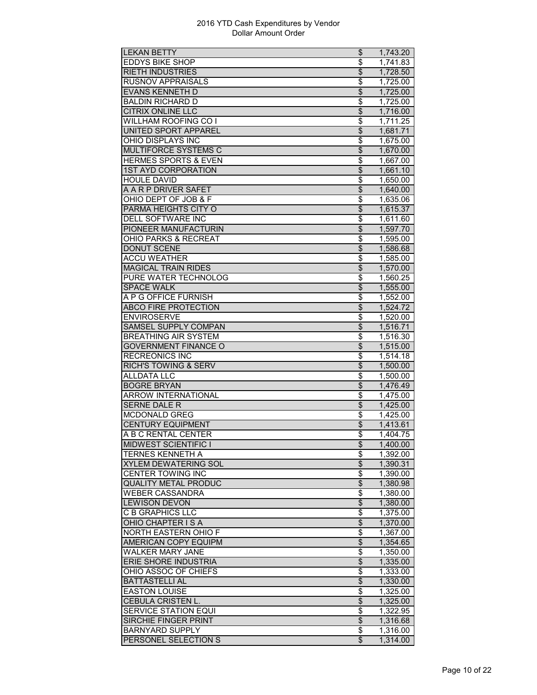| <b>LEKAN BETTY</b>                                    | \$                             | 1,743.20 |
|-------------------------------------------------------|--------------------------------|----------|
| <b>EDDYS BIKE SHOP</b>                                | \$                             | 1,741.83 |
| <b>RIETH INDUSTRIES</b>                               | \$                             | 1,728.50 |
| <b>RUSNOV APPRAISALS</b>                              | \$                             | 1,725.00 |
| <b>EVANS KENNETH D</b>                                | $\overline{\$}$                | 1,725.00 |
| <b>BALDIN RICHARD D</b>                               | \$                             | 1,725.00 |
| <b>CITRIX ONLINE LLC</b>                              | $\overline{\$}$                | 1,716.00 |
| WILLHAM ROOFING CO I                                  | \$                             | 1,711.25 |
| UNITED SPORT APPAREL                                  | \$                             | 1,681.71 |
| OHIO DISPLAYS INC                                     | \$                             | 1.675.00 |
| <b>MULTIFORCE SYSTEMS C</b>                           | \$                             | 1,670.00 |
| <b>HERMES SPORTS &amp; EVEN</b>                       | \$                             | 1,667.00 |
| <b>1ST AYD CORPORATION</b>                            | $\overline{\$}$                | 1,661.10 |
| <b>HOULE DAVID</b>                                    | $\overline{\$}$                | 1,650.00 |
| A A R P DRIVER SAFET                                  | $\overline{\$}$                | 1,640.00 |
| OHIO DEPT OF JOB & F                                  | \$                             | 1,635.06 |
| PARMA HEIGHTS CITY O                                  | $\overline{\mathcal{L}}$       | 1,615.37 |
| DELL SOFTWARE INC                                     | \$                             | 1,611.60 |
| PIONEER MANUFACTURIN                                  |                                |          |
|                                                       | $\overline{\mathcal{S}}$       | 1,597.70 |
| <b>OHIO PARKS &amp; RECREAT</b><br><b>DONUT SCENE</b> | \$<br>$\overline{\mathcal{S}}$ | 1,595.00 |
|                                                       |                                | 1,586.68 |
| <b>ACCU WEATHER</b>                                   | \$                             | 1,585.00 |
| <b>MAGICAL TRAIN RIDES</b>                            | $\overline{\mathcal{L}}$       | 1,570.00 |
| PURE WATER TECHNOLOG                                  | \$                             | 1,560.25 |
| SPACE WALK                                            | \$                             | 1,555.00 |
| A P G OFFICE FURNISH                                  | \$                             | 1,552.00 |
| <b>ABCO FIRE PROTECTION</b>                           | $\overline{\mathcal{S}}$       | 1,524.72 |
| <b>ENVIROSERVE</b>                                    | \$                             | 1,520.00 |
| SAMSEL SUPPLY COMPAN                                  | \$                             | 1,516.71 |
| <b>BREATHING AIR SYSTEM</b>                           | \$                             | 1,516.30 |
| <b>GOVERNMENT FINANCE O</b>                           | \$                             | 1,515.00 |
| <b>RECREONICS INC</b>                                 | \$                             | 1,514.18 |
| <b>RICH'S TOWING &amp; SERV</b>                       | \$                             | 1,500.00 |
| <b>ALLDATA LLC</b>                                    | \$                             | 1,500.00 |
| <b>BOGRE BRYAN</b>                                    | $\overline{\$}$                | 1,476.49 |
| <b>ARROW INTERNATIONAL</b>                            | \$                             | 1,475.00 |
| <b>SERNE DALE R</b>                                   | \$                             | 1,425.00 |
| <b>MCDONALD GREG</b>                                  | \$                             | 1,425.00 |
| <b>CENTURY EQUIPMENT</b>                              | \$                             | 1,413.61 |
| A B C RENTAL CENTER                                   | \$                             | 1,404.75 |
| <b>MIDWEST SCIENTIFIC I</b>                           | Φ                              | 1,400.00 |
| TERNES KENNETH A                                      | \$                             | 1,392.00 |
| <b>XYLEM DEWATERING SOL</b>                           | $\overline{\mathcal{L}}$       | 1,390.31 |
| <b>CENTER TOWING INC</b>                              | \$                             | 1,390.00 |
| <b>QUALITY METAL PRODUC</b>                           | \$                             | 1,380.98 |
| <b>WEBER CASSANDRA</b>                                | \$                             | 1,380.00 |
| <b>LEWISON DEVON</b>                                  | \$                             | 1,380.00 |
|                                                       | \$                             |          |
| C B GRAPHICS LLC                                      |                                | 1,375.00 |
| OHIO CHAPTER IS A                                     | $\overline{\$}$                | 1,370.00 |
| NORTH EASTERN OHIO F                                  | \$                             | 1,367.00 |
| <b>AMERICAN COPY EQUIPM</b>                           | $\overline{\mathcal{L}}$       | 1,354.65 |
| <b>WALKER MARY JANE</b>                               | \$                             | 1,350.00 |
| <b>ERIE SHORE INDUSTRIA</b>                           | \$                             | 1,335.00 |
| OHIO ASSOC OF CHIEFS                                  | \$                             | 1,333.00 |
| <b>BATTASTELLI AL</b>                                 | $\overline{\mathcal{L}}$       | 1,330.00 |
| <b>EASTON LOUISE</b>                                  | \$                             | 1,325.00 |
| <b>CEBULA CRISTEN L.</b>                              | $\overline{\$}$                | 1,325.00 |
| <b>SERVICE STATION EQUI</b>                           | \$                             | 1,322.95 |
| <b>SIRCHIE FINGER PRINT</b>                           | $\overline{\theta}$            | 1,316.68 |
| <b>BARNYARD SUPPLY</b>                                | \$                             | 1,316.00 |
| PERSONEL SELECTION S                                  | $\overline{\mathcal{E}}$       | 1,314.00 |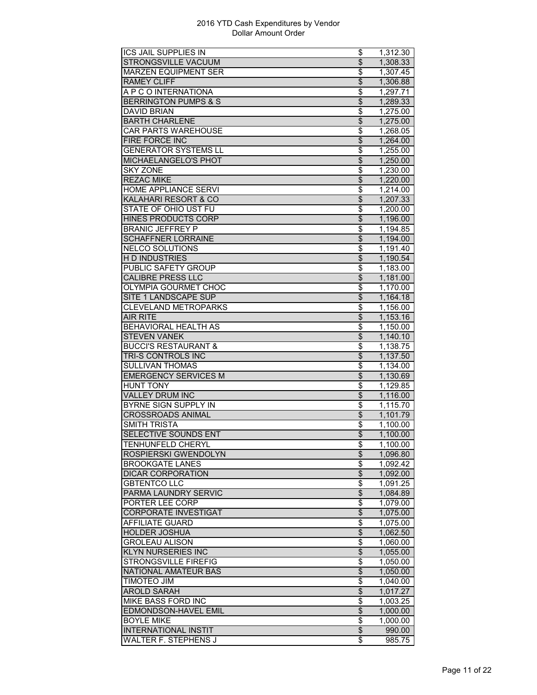| ICS JAIL SUPPLIES IN            | \$                                 | 1,312.30              |
|---------------------------------|------------------------------------|-----------------------|
| <b>STRONGSVILLE VACUUM</b>      | $\overline{\$}$                    | 1,308.33              |
| <b>MARZEN EQUIPMENT SER</b>     | \$                                 | 1,307.45              |
| <b>RAMEY CLIFF</b>              | \$                                 | 1,306.88              |
| A P C O INTERNATIONA            | \$                                 | 1,297.71              |
| <b>BERRINGTON PUMPS &amp; S</b> | $\overline{\$}$                    | 1,289.33              |
| <b>DAVID BRIAN</b>              | \$                                 | 1,275.00              |
| <b>BARTH CHARLENE</b>           | \$                                 | 1,275.00              |
| <b>CAR PARTS WAREHOUSE</b>      | \$                                 | 1,268.05              |
| <b>FIRE FORCE INC</b>           | $\overline{\mathcal{E}}$           | 1,264.00              |
| <b>GENERATOR SYSTEMS LL</b>     | \$                                 | 1,255.00              |
| MICHAELANGELO'S PHOT            | \$                                 | 1,250.00              |
| <b>SKY ZONE</b>                 | \$                                 | $\overline{1,}230.00$ |
| <b>REZAC MIKE</b>               | $\overline{\$}$                    | 1,220.00              |
| <b>HOME APPLIANCE SERVI</b>     | \$                                 | 1,214.00              |
| KALAHARI RESORT & CO            | \$                                 | 1,207.33              |
| STATE OF OHIO UST FU            | \$                                 | 1,200.00              |
| <b>HINES PRODUCTS CORP</b>      | \$                                 | 1,196.00              |
| <b>BRANIC JEFFREY P</b>         | \$                                 | 1,194.85              |
| <b>SCHAFFNER LORRAINE</b>       | $\overline{\$}$                    | 1,194.00              |
| <b>NELCO SOLUTIONS</b>          | \$                                 | 1,191.40              |
| <b>HD INDUSTRIES</b>            | $\overline{\mathcal{L}}$           | 1,190.54              |
| PUBLIC SAFETY GROUP             | \$                                 | 1,183.00              |
| <b>CALIBRE PRESS LLC</b>        | $\overline{\mathcal{L}}$           | 1,181.00              |
| OLYMPIA GOURMET CHOC            | \$                                 | 1,170.00              |
| <b>SITE 1 LANDSCAPE SUP</b>     | $\overline{\$}$                    | 1,164.18              |
| CLEVELAND METROPARKS            | $\overline{\$}$                    | 1,156.00              |
| <b>AIR RITE</b>                 | $\overline{\$}$                    | 1,153.16              |
| BEHAVIORAL HEALTH AS            | \$                                 | 1,150.00              |
| <b>STEVEN VANEK</b>             | \$                                 | 1,140.10              |
| <b>BUCCI'S RESTAURANT &amp;</b> | \$                                 | 1,138.75              |
| TRI-S CONTROLS INC              | \$                                 | 1,137.50              |
| SULLIVAN THOMAS                 | \$                                 | 1,134.00              |
| <b>EMERGENCY SERVICES M</b>     | $\overline{\$}$                    | 1,130.69              |
| <b>HUNT TONY</b>                | \$                                 | 1,129.85              |
| <b>VALLEY DRUM INC</b>          | $\overline{\$}$                    | 1,116.00              |
| BYRNE SIGN SUPPLY IN            | \$                                 | 1,115.70              |
| <b>CROSSROADS ANIMAL</b>        | $\overline{\theta}$                | 1,101.79              |
| <b>SMITH TRISTA</b>             | \$                                 | 1,100.00              |
| SELECTIVE SOUNDS ENT            | $\overline{\mathcal{L}}$           | 1,100.00              |
| <b>TENHUNFELD CHERYL</b>        | \$                                 | 1,100.00              |
| ROSPIERSKI GWENDOLYN            | $\overline{\$}$                    | 1,096.80              |
| <b>BROOKGATE LANES</b>          | \$                                 | 1,092.42              |
| <b>DICAR CORPORATION</b>        | $\overline{\$}$                    | 1,092.00              |
| <b>GBTENTCO LLC</b>             | \$                                 | 1,091.25              |
| PARMA LAUNDRY SERVIC            | \$                                 | 1,084.89              |
| PORTER LEE CORP                 | \$                                 | 1,079.00              |
| CORPORATE INVESTIGAT            | $\overline{\$}$                    | 1,075.00              |
| <b>AFFILIATE GUARD</b>          | \$                                 | 1,075.00              |
| HOLDER JOSHUA                   | \$                                 | 1,062.50              |
| <b>GROLEAU ALISON</b>           | \$                                 | 1,060.00              |
| <b>KLYN NURSERIES INC</b>       | $\overline{\$}$                    | 1,055.00              |
| <b>STRONGSVILLE FIREFIG</b>     | \$                                 | 1,050.00              |
| NATIONAL AMATEUR BAS            | \$                                 | 1,050.00              |
| <b>TIMOTEO JIM</b>              | \$                                 | 1,040.00              |
| <b>AROLD SARAH</b>              | \$                                 | 1,017.27              |
| <b>MIKE BASS FORD INC</b>       | \$                                 | 1,003.25              |
| EDMONDSON-HAVEL EMIL            | \$                                 | 1,000.00              |
| <b>BOYLE MIKE</b>               | $\overline{\boldsymbol{\epsilon}}$ | 1,000.00              |
| <b>INTERNATIONAL INSTIT</b>     | $\overline{\mathcal{E}}$           | 990.00                |
|                                 |                                    |                       |
| <b>WALTER F. STEPHENS J</b>     | \$                                 | 985.75                |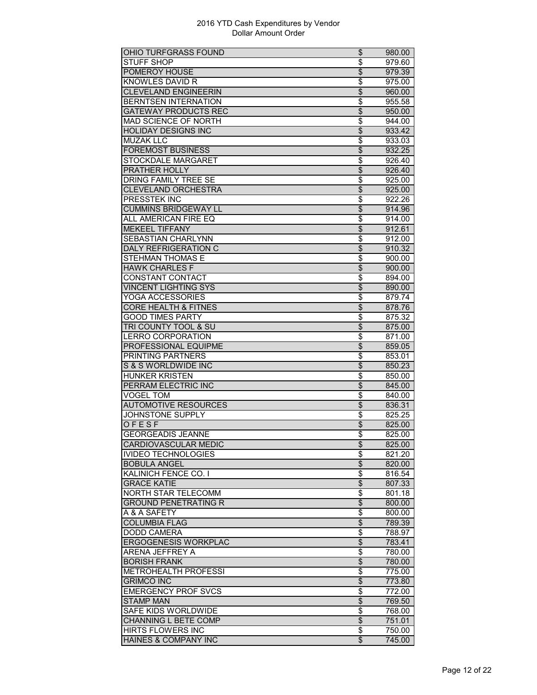| OHIO TURFGRASS FOUND                              | \$                       | 980.00 |
|---------------------------------------------------|--------------------------|--------|
| <b>STUFF SHOP</b>                                 | \$                       | 979.60 |
| POMEROY HOUSE                                     | \$                       | 979.39 |
| KNOWLES DAVID R                                   | \$                       | 975.00 |
| <b>CLEVELAND ENGINEERIN</b>                       | $\overline{\$}$          | 960.00 |
| <b>BERNTSEN INTERNATION</b>                       | $\overline{\$}$          | 955.58 |
| <b>GATEWAY PRODUCTS REC</b>                       | $\overline{\$}$          | 950.00 |
| <b>MAD SCIENCE OF NORTH</b>                       | \$                       | 944.00 |
| <b>HOLIDAY DESIGNS INC</b>                        | $\overline{\mathcal{L}}$ | 933.42 |
| <b>MUZAK LLC</b>                                  | \$                       | 933.03 |
| <b>FOREMOST BUSINESS</b>                          | $\overline{\mathcal{L}}$ | 932.25 |
| STOCKDALE MARGARET                                | \$                       | 926.40 |
| PRATHER HOLLY                                     | $\overline{\$}$          | 926.40 |
| <b>DRING FAMILY TREE SE</b>                       |                          |        |
|                                                   | \$                       | 925.00 |
| <b>CLEVELAND ORCHESTRA</b>                        | $\overline{\$}$          | 925.00 |
| PRESSTEK INC                                      | \$                       | 922.26 |
| <b>CUMMINS BRIDGEWAY LL</b>                       | \$                       | 914.96 |
| ALL AMERICAN FIRE EQ                              | \$                       | 914.00 |
| <b>MEKEEL TIFFANY</b>                             | \$                       | 912.61 |
| SEBASTIAN CHARLYNN                                | \$                       | 912.00 |
| <b>DALY REFRIGERATION C</b>                       | \$                       | 910.32 |
| STEHMAN THOMAS E                                  | \$                       | 900.00 |
| <b>HAWK CHARLES F</b>                             | $\overline{\mathcal{L}}$ | 900.00 |
| <b>CONSTANT CONTACT</b>                           | \$                       | 894.00 |
| <b>VINCENT LIGHTING SYS</b>                       | \$                       | 890.00 |
| YOGA ACCESSORIES                                  | \$                       | 879.74 |
| <b>CORE HEALTH &amp; FITNES</b>                   | $\overline{\$}$          | 878.76 |
| <b>GOOD TIMES PARTY</b>                           | $\overline{\$}$          | 875.32 |
| <b>TRI COUNTY TOOL &amp; SU</b>                   | \$                       |        |
| <b>LERRO CORPORATION</b>                          |                          | 875.00 |
|                                                   | \$                       | 871.00 |
| PROFESSIONAL EQUIPME                              | $\overline{\mathcal{L}}$ | 859.05 |
| PRINTING PARTNERS                                 | \$                       | 853.01 |
| S & S WORLDWIDE INC                               | \$                       | 850.23 |
| <b>HUNKER KRISTEN</b>                             | $\overline{\$}$          | 850.00 |
| PERRAM ELECTRIC INC                               | $\overline{\$}$          | 845.00 |
| <b>VOGEL TOM</b>                                  | \$                       | 840.00 |
| <b>AUTOMOTIVE RESOURCES</b>                       | \$                       | 836.31 |
| JOHNSTONE SUPPLY                                  | \$                       | 825.25 |
| OFESF                                             | \$                       | 825.00 |
| <b>GEORGEADIS JEANNE</b>                          | \$                       | 825.00 |
| <b>CARDIOVASCULAR MEDIC</b>                       | \$                       | 825.00 |
| <b>IVIDEO TECHNOLOGIES</b>                        | \$                       | 821.20 |
| <b>BOBULA ANGEL</b>                               | $\overline{\theta}$      | 820.00 |
| <b>KALINICH FENCE CO. I</b>                       | \$                       | 816.54 |
| <b>GRACE KATIE</b>                                | \$                       | 807.33 |
| NORTH STAR TELECOMM                               | \$                       | 801.18 |
| <b>GROUND PENETRATING R</b>                       | \$                       | 800.00 |
| A & A SAFETY                                      | \$                       | 800.00 |
| <b>COLUMBIA FLAG</b>                              | $\overline{\$}$          | 789.39 |
|                                                   |                          |        |
| <b>DODD CAMERA</b><br><b>ERGOGENESIS WORKPLAC</b> | \$                       | 788.97 |
|                                                   | $\overline{\theta}$      | 783.41 |
| <b>ARENA JEFFREY A</b>                            | \$                       | 780.00 |
| <b>BORISH FRANK</b>                               | \$                       | 780.00 |
| <b>METROHEALTH PROFESSI</b>                       | \$                       | 775.00 |
| <b>GRIMCO INC</b>                                 | $\overline{\$}$          | 773.80 |
| <b>EMERGENCY PROF SVCS</b>                        | \$                       | 772.00 |
| <b>STAMP MAN</b>                                  | $\overline{\$}$          | 769.50 |
| SAFE KIDS WORLDWIDE                               | \$                       | 768.00 |
| CHANNING L BETE COMP                              | \$                       | 751.01 |
| <b>HIRTS FLOWERS INC</b>                          | \$                       | 750.00 |
| HAINES & COMPANY INC                              | \$                       | 745.00 |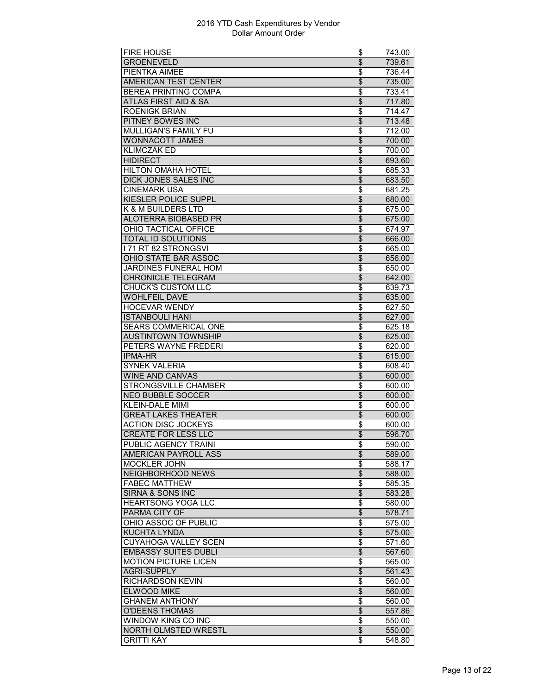| <b>FIRE HOUSE</b>           | \$                       | 743.00 |
|-----------------------------|--------------------------|--------|
| <b>GROENEVELD</b>           | $\overline{\mathcal{S}}$ | 739.61 |
| PIENTKA AIMEE               | \$                       | 736.44 |
| <b>AMERICAN TEST CENTER</b> | \$                       | 735.00 |
| <b>BEREA PRINTING COMPA</b> | $\overline{\$}$          | 733.41 |
| ATLAS FIRST AID & SA        | $\overline{\$}$          | 717.80 |
| <b>ROENIGK BRIAN</b>        | \$                       | 714.47 |
| PITNEY BOWES INC            | \$                       | 713.48 |
| MULLIGAN'S FAMILY FU        | \$                       | 712.00 |
| <b>WONNACOTT JAMES</b>      | \$                       | 700.00 |
| <b>KLIMCZAK ED</b>          | \$                       | 700.00 |
| <b>HIDIRECT</b>             | $\overline{\mathcal{L}}$ | 693.60 |
| <b>HILTON OMAHA HOTEL</b>   | $\overline{\$}$          | 685.33 |
| <b>DICK JONES SALES INC</b> | $\overline{\$}$          | 683.50 |
| <b>CINEMARK USA</b>         | \$                       | 681.25 |
| KIESLER POLICE SUPPL        | \$                       | 680.00 |
| K & M BUILDERS LTD          | \$                       | 675.00 |
| <b>ALOTERRA BIOBASED PR</b> | \$                       | 675.00 |
| OHIO TACTICAL OFFICE        | \$                       | 674.97 |
| <b>TOTAL ID SOLUTIONS</b>   | $\overline{\$}$          | 666.00 |
| <b>171 RT 82 STRONGSVI</b>  | \$                       | 665.00 |
| <b>OHIO STATE BAR ASSOC</b> | $\overline{\mathcal{S}}$ | 656.00 |
| JARDINES FUNERAL HOM        | \$                       | 650.00 |
| <b>CHRONICLE TELEGRAM</b>   | $\overline{\mathcal{L}}$ | 642.00 |
| <b>CHUCK'S CUSTOM LLC</b>   | \$                       | 639.73 |
| <b>WOHLFEIL DAVE</b>        | \$                       | 635.00 |
| <b>HOCEVAR WENDY</b>        | $\overline{\$}$          | 627.50 |
| <b>ISTANBOULI HANI</b>      | $\overline{\$}$          |        |
| <b>SEARS COMMERICAL ONE</b> |                          | 627.00 |
|                             | \$<br>\$                 | 625.18 |
|                             |                          |        |
| <b>AUSTINTOWN TOWNSHIP</b>  |                          | 625.00 |
| PETERS WAYNE FREDERI        | \$                       | 620.00 |
| <b>IPMA-HR</b>              | \$                       | 615.00 |
| <b>SYNEK VALERIA</b>        | \$                       | 608.40 |
| <b>WINE AND CANVAS</b>      | $\overline{\$}$          | 600.00 |
| <b>STRONGSVILLE CHAMBER</b> | \$                       | 600.00 |
| <b>NEO BUBBLE SOCCER</b>    | \$                       | 600.00 |
| <b>KLEIN-DALE MIMI</b>      | \$                       | 600.00 |
| <b>GREAT LAKES THEATER</b>  | \$                       | 600.00 |
| <b>ACTION DISC JOCKEYS</b>  | \$                       | 600.00 |
| <b>CREATE FOR LESS LLC</b>  | $\overline{\$}$          | 596.70 |
| PUBLIC AGENCY TRAINI        | \$                       | 590.00 |
| AMERICAN PAYROLL ASS        | $\overline{\mathcal{L}}$ | 589.00 |
| <b>MOCKLER JOHN</b>         | \$                       | 588.17 |
| <b>NEIGHBORHOOD NEWS</b>    | $\overline{\mathcal{L}}$ | 588.00 |
| <b>FABEC MATTHEW</b>        | \$                       | 585.35 |
| <b>SIRNA &amp; SONS INC</b> | \$                       | 583.28 |
| <b>HEARTSONG YOGA LLC</b>   | \$                       | 580.00 |
| PARMA CITY OF               | $\overline{\$}$          | 578.71 |
| OHIO ASSOC OF PUBLIC        | $\overline{\$}$          | 575.00 |
| KUCHTA LYNDA                | \$                       | 575.00 |
| <b>CUYAHOGA VALLEY SCEN</b> | \$                       | 571.60 |
| <b>EMBASSY SUITES DUBLI</b> | $\overline{\mathcal{L}}$ | 567.60 |
| <b>MOTION PICTURE LICEN</b> | \$                       | 565.00 |
| <b>AGRI-SUPPLY</b>          | \$                       | 561.43 |
| RICHARDSON KEVIN            | \$                       | 560.00 |
| <b>ELWOOD MIKE</b>          | $\overline{\$}$          | 560.00 |
| <b>GHANEM ANTHONY</b>       | \$                       | 560.00 |
| <b>O'DEENS THOMAS</b>       | \$                       | 557.86 |
| WINDOW KING CO INC          | \$                       | 550.00 |
| NORTH OLMSTED WRESTL        | \$                       | 550.00 |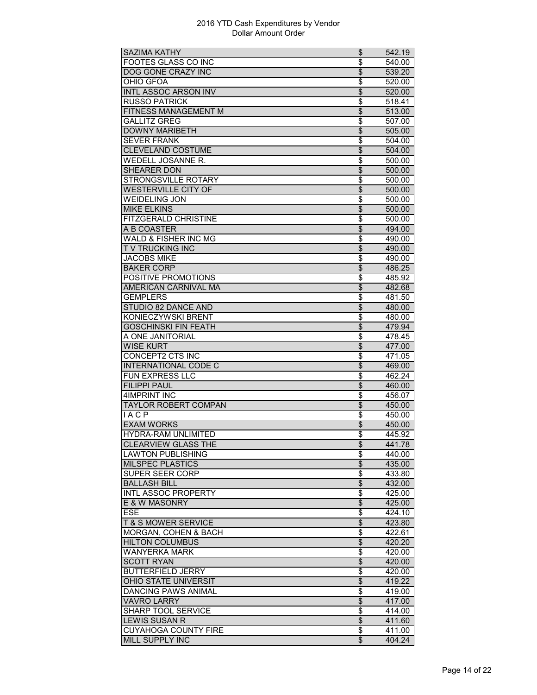| <b>SAZIMA KATHY</b>             | \$                       | 542.19 |
|---------------------------------|--------------------------|--------|
| <b>FOOTES GLASS CO INC</b>      | \$                       | 540.00 |
| <b>DOG GONE CRAZY INC</b>       | \$                       | 539.20 |
| OHIO GFOA                       | \$                       | 520.00 |
| <b>INTL ASSOC ARSON INV</b>     | \$                       | 520.00 |
| <b>RUSSO PATRICK</b>            | $\overline{\$}$          | 518.41 |
| FITNESS MANAGEMENT M            | $\overline{\$}$          | 513.00 |
| <b>GALLITZ GREG</b>             | \$                       | 507.00 |
| <b>DOWNY MARIBETH</b>           | $\overline{\mathcal{L}}$ | 505.00 |
| <b>SEVER FRANK</b>              | \$                       | 504.00 |
| <b>CLEVELAND COSTUME</b>        | \$                       | 504.00 |
| <b>WEDELL JOSANNE R.</b>        | \$                       | 500.00 |
| <b>SHEARER DON</b>              | $\overline{\$}$          | 500.00 |
| <b>STRONGSVILLE ROTARY</b>      | $\overline{\$}$          | 500.00 |
| <b>WESTERVILLE CITY OF</b>      | $\overline{\mathcal{L}}$ | 500.00 |
| <b>WEIDELING JON</b>            | \$                       | 500.00 |
| <b>MIKE ELKINS</b>              | \$                       | 500.00 |
| <b>FITZGERALD CHRISTINE</b>     |                          | 500.00 |
| A B COASTER                     | \$<br>$\overline{\$}$    |        |
|                                 |                          | 494.00 |
| <b>WALD &amp; FISHER INC MG</b> | \$                       | 490.00 |
| <b>TV TRUCKING INC</b>          | \$                       | 490.00 |
| <b>JACOBS MIKE</b>              | \$                       | 490.00 |
| <b>BAKER CORP</b>               | \$                       | 486.25 |
| POSITIVE PROMOTIONS             | \$                       | 485.92 |
| AMERICAN CARNIVAL MA            | \$                       | 482.68 |
| <b>GEMPLERS</b>                 | \$                       | 481.50 |
| STUDIO 82 DANCE AND             | $\overline{\$}$          | 480.00 |
| <b>KONIECZYWSKI BRENT</b>       | $\overline{\$}$          | 480.00 |
| <b>GOSCHINSKI FIN FEATH</b>     | \$                       | 479.94 |
| A ONE JANITORIAL                | \$                       | 478.45 |
| <b>WISE KURT</b>                | \$                       | 477.00 |
| <b>CONCEPT2 CTS INC</b>         | \$                       | 471.05 |
| INTERNATIONAL CODE C            | \$                       | 469.00 |
| FUN EXPRESS LLC                 | \$                       | 462.24 |
| <b>FILIPPI PAUL</b>             | $\overline{\$}$          | 460.00 |
| <b>4IMPRINT INC</b>             | \$                       | 456.07 |
| <b>TAYLOR ROBERT COMPAN</b>     | \$                       | 450.00 |
| <b>IACP</b>                     | \$                       | 450.00 |
| <b>EXAM WORKS</b>               | \$                       | 450.00 |
| <b>HYDRA-RAM UNLIMITED</b>      | \$                       | 445.92 |
| <b>CLEARVIEW GLASS THE</b>      | Φ                        | 441.78 |
| <b>LAWTON PUBLISHING</b>        | \$                       | 440.00 |
| <b>MILSPEC PLASTICS</b>         | \$                       | 435.00 |
| <b>SUPER SEER CORP</b>          | \$                       | 433.80 |
| <b>BALLASH BILL</b>             | $\overline{\theta}$      | 432.00 |
| <b>INTL ASSOC PROPERTY</b>      | \$                       | 425.00 |
| E & W MASONRY                   |                          |        |
| <b>ESE</b>                      | \$                       | 425.00 |
|                                 | \$                       | 424.10 |
| <b>T &amp; S MOWER SERVICE</b>  | $\overline{\$}$          | 423.80 |
| <b>MORGAN, COHEN &amp; BACH</b> | \$                       | 422.61 |
| <b>HILTON COLUMBUS</b>          | $\overline{\mathcal{L}}$ | 420.20 |
| <b>WANYERKA MARK</b>            | \$                       | 420.00 |
| <b>SCOTT RYAN</b>               | \$                       | 420.00 |
| <b>BUTTERFIELD JERRY</b>        | \$                       | 420.00 |
| OHIO STATE UNIVERSIT            | $\overline{\mathcal{L}}$ | 419.22 |
| <b>DANCING PAWS ANIMAL</b>      | \$                       | 419.00 |
| <b>VAVRO LARRY</b>              | $\overline{\mathcal{L}}$ | 417.00 |
| SHARP TOOL SERVICE              | \$                       | 414.00 |
| <b>LEWIS SUSAN R</b>            | $\overline{\mathcal{E}}$ | 411.60 |
| <b>CUYAHOGA COUNTY FIRE</b>     | \$                       | 411.00 |
| MILL SUPPLY INC                 | $\overline{\mathcal{E}}$ | 404.24 |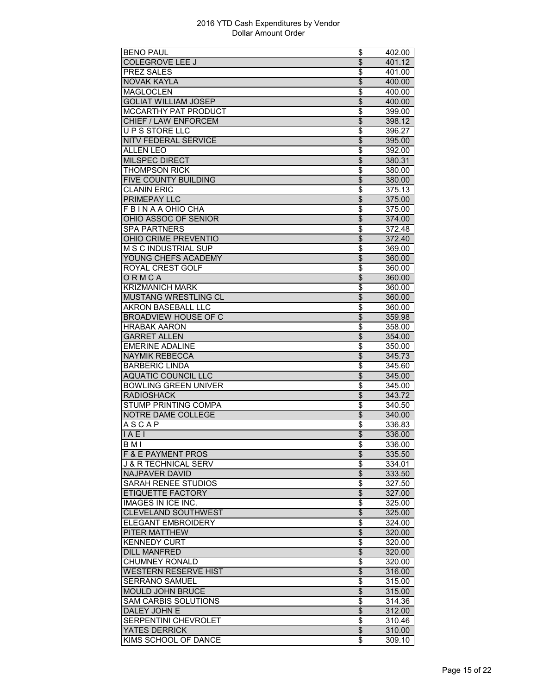| <b>BENO PAUL</b>                | \$                               | 402.00 |
|---------------------------------|----------------------------------|--------|
| <b>COLEGROVE LEE J</b>          | $\overline{\mathcal{L}}$         | 401.12 |
| PREZ SALES                      | \$                               | 401.00 |
| <b>NOVAK KAYLA</b>              | \$                               | 400.00 |
| <b>MAGLOCLEN</b>                | \$                               | 400.00 |
| <b>GOLIAT WILLIAM JOSEP</b>     | $\overline{\$}$                  | 400.00 |
| <b>MCCARTHY PAT PRODUCT</b>     | \$                               | 399.00 |
| <b>CHIEF / LAW ENFORCEM</b>     | $\overline{\mathcal{L}}$         | 398.12 |
| UPS STORE LLC                   | \$                               | 396.27 |
| <b>NITV FEDERAL SERVICE</b>     | $\overline{\theta}$              | 395.00 |
| <b>ALLEN LEO</b>                | \$                               | 392.00 |
| <b>MILSPEC DIRECT</b>           | $\frac{1}{2}$                    | 380.31 |
| <b>THOMPSON RICK</b>            | $\overline{\$}$                  | 380.00 |
| <b>FIVE COUNTY BUILDING</b>     | $\overline{\$}$                  | 380.00 |
| <b>CLANIN ERIC</b>              | $\overline{\boldsymbol{\theta}}$ | 375.13 |
| PRIMEPAY LLC                    | \$                               | 375.00 |
| F B I N A A OHIO CHA            | \$                               | 375.00 |
| OHIO ASSOC OF SENIOR            | $\overline{\mathcal{L}}$         | 374.00 |
| <b>SPA PARTNERS</b>             | \$                               | 372.48 |
| OHIO CRIME PREVENTIO            | $\overline{\$}$                  | 372.40 |
| M S C INDUSTRIAL SUP            | \$                               | 369.00 |
| YOUNG CHEFS ACADEMY             | $\overline{\$}$                  | 360.00 |
| <b>ROYAL CREST GOLF</b>         | \$                               | 360.00 |
| ORMCA                           | \$                               | 360.00 |
| <b>KRIZMANICH MARK</b>          | \$                               | 360.00 |
| <b>MUSTANG WRESTLING CL</b>     | $\overline{\$}$                  | 360.00 |
| AKRON BASEBALL LLC              | $\overline{\$}$                  | 360.00 |
| <b>BROADVIEW HOUSE OF C</b>     | $\overline{\$}$                  | 359.98 |
| <b>HRABAK AARON</b>             | \$                               | 358.00 |
| <b>GARRET ALLEN</b>             | $\overline{\theta}$              | 354.00 |
| <b>EMERINE ADALINE</b>          | \$                               | 350.00 |
| <b>NAYMIK REBECCA</b>           | \$                               | 345.73 |
| <b>BARBERIC LINDA</b>           | \$                               | 345.60 |
| <b>AQUATIC COUNCIL LLC</b>      | $\overline{\$}$                  | 345.00 |
| <b>BOWLING GREEN UNIVER</b>     | \$                               | 345.00 |
| <b>RADIOSHACK</b>               | $\overline{\theta}$              | 343.72 |
| STUMP PRINTING COMPA            | \$                               | 340.50 |
| NOTRE DAME COLLEGE              | $\overline{\mathcal{L}}$         | 340.00 |
| <b>ASCAP</b>                    |                                  |        |
|                                 | \$                               | 336.83 |
| IAE1                            | $\overline{\$}$                  | 336.00 |
| <b>BMI</b>                      | \$                               | 336.00 |
| <b>F &amp; E PAYMENT PROS</b>   | $\overline{\mathcal{L}}$         | 335.50 |
| <b>J &amp; R TECHNICAL SERV</b> | \$                               | 334.01 |
| <b>NAJPAVER DAVID</b>           | $\overline{\$}$                  | 333.50 |
| <b>SARAH RENEE STUDIOS</b>      | \$                               | 327.50 |
| ETIQUETTE FACTORY               | \$                               | 327.00 |
| <b>IMAGES IN ICE INC.</b>       | \$                               | 325.00 |
| <b>CLEVELAND SOUTHWEST</b>      | $\overline{\$}$                  | 325.00 |
| <b>ELEGANT EMBROIDERY</b>       | $\overline{\boldsymbol{\theta}}$ | 324.00 |
| <b>PITER MATTHEW</b>            | $\overline{\mathcal{L}}$         | 320.00 |
| <b>KENNEDY CURT</b>             | $\overline{\boldsymbol{\theta}}$ | 320.00 |
| <b>DILL MANFRED</b>             | $\overline{\theta}$              | 320.00 |
| <b>CHUMNEY RONALD</b>           | \$                               | 320.00 |
| <b>WESTERN RESERVE HIST</b>     | \$                               | 316.00 |
| SERRANO SAMUEL                  | $\overline{\boldsymbol{\theta}}$ | 315.00 |
| <b>MOULD JOHN BRUCE</b>         | $\overline{\$}$                  | 315.00 |
| <b>SAM CARBIS SOLUTIONS</b>     | \$                               | 314.36 |
| DALEY JOHN E                    | \$                               | 312.00 |
| SERPENTINI CHEVROLET            | \$                               | 310.46 |
| <b>YATES DERRICK</b>            | \$                               | 310.00 |
| KIMS SCHOOL OF DANCE            | \$                               | 309.10 |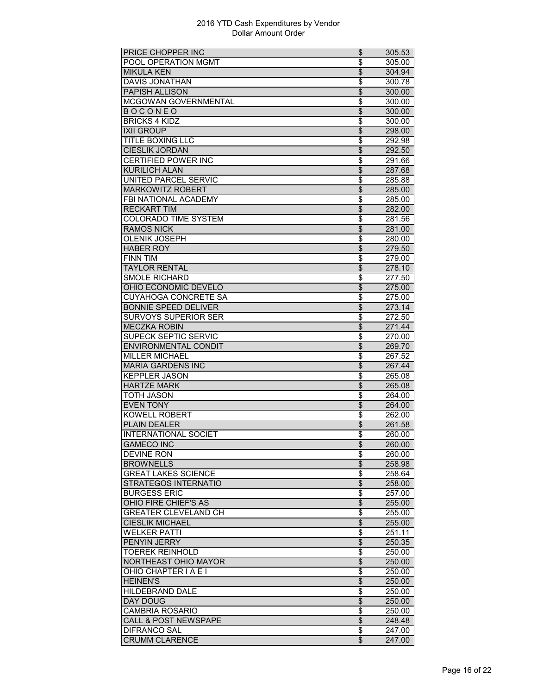| <b>PRICE CHOPPER INC</b>        | \$                             | 305.53 |
|---------------------------------|--------------------------------|--------|
| <b>POOL OPERATION MGMT</b>      | \$                             | 305.00 |
| <b>MIKULA KEN</b>               | \$                             | 304.94 |
| DAVIS JONATHAN                  | \$                             | 300.78 |
| <b>PAPISH ALLISON</b>           | $\overline{\$}$                | 300.00 |
| MCGOWAN GOVERNMENTAL            | $\overline{\$}$                | 300.00 |
| <b>BOCONEO</b>                  | $\overline{\$}$                | 300.00 |
| <b>BRICKS 4 KIDZ</b>            | \$                             | 300.00 |
| <b>IXII GROUP</b>               | $\overline{\mathcal{S}}$       | 298.00 |
| <b>TITLE BOXING LLC</b>         | \$                             | 292.98 |
| <b>CIESLIK JORDAN</b>           | \$                             | 292.50 |
| <b>CERTIFIED POWER INC</b>      | \$                             | 291.66 |
| <b>KURILICH ALAN</b>            | $\overline{\$}$                |        |
|                                 |                                | 287.68 |
| <b>UNITED PARCEL SERVIC</b>     | $\overline{\$}$                | 285.88 |
| <b>MARKOWITZ ROBERT</b>         | $\overline{\$}$                | 285.00 |
| FBI NATIONAL ACADEMY            | \$                             | 285.00 |
| <b>RECKART TIM</b>              | \$                             | 282.00 |
| <b>COLORADO TIME SYSTEM</b>     | \$                             | 281.56 |
| <b>RAMOS NICK</b>               | $\overline{\mathcal{S}}$       | 281.00 |
| <b>OLENIK JOSEPH</b>            | \$                             | 280.00 |
| <b>HABER ROY</b>                | $\overline{\mathcal{S}}$       | 279.50 |
| <b>FINN TIM</b>                 | \$                             | 279.00 |
| <b>TAYLOR RENTAL</b>            | $\overline{\mathcal{S}}$       | 278.10 |
| <b>SMOLE RICHARD</b>            | \$                             | 277.50 |
| OHIO ECONOMIC DEVELO            | \$                             | 275.00 |
| CUYAHOGA CONCRETE SA            | \$                             | 275.00 |
| <b>BONNIE SPEED DELIVER</b>     | $\overline{\mathcal{S}}$       | 273.14 |
| SURVOYS SUPERIOR SER            | \$                             | 272.50 |
| <b>MECZKA ROBIN</b>             | $\overline{\mathcal{L}}$       | 271.44 |
| <b>SUPECK SEPTIC SERVIC</b>     | \$                             | 270.00 |
| <b>ENVIRONMENTAL CONDIT</b>     | $\overline{\mathcal{S}}$       | 269.70 |
| <b>MILLER MICHAEL</b>           | \$                             | 267.52 |
| <b>MARIA GARDENS INC</b>        |                                |        |
| KEPPLER JASON                   | \$<br>\$                       | 267.44 |
| <b>HARTZE MARK</b>              | $\overline{\$}$                | 265.08 |
|                                 |                                | 265.08 |
| <b>TOTH JASON</b>               | \$                             | 264.00 |
| <b>EVEN TONY</b>                | \$                             | 264.00 |
| <b>KOWELL ROBERT</b>            | \$                             | 262.00 |
| <b>PLAIN DEALER</b>             | $\overline{\mathcal{L}}$       | 261.58 |
| <b>INTERNATIONAL SOCIET</b>     | \$                             | 260.00 |
| <b>GAMECO INC</b>               | Φ                              | 260.00 |
| <b>DEVINE RON</b>               | \$                             | 260.00 |
| <b>BROWNELLS</b>                | $\overline{\theta}$            | 258.98 |
| <b>GREAT LAKES SCIENCE</b>      | \$                             | 258.64 |
| <b>STRATEGOS INTERNATIO</b>     | $\overline{\theta}$            | 258.00 |
| <b>BURGESS ERIC</b>             | \$                             | 257.00 |
| OHIO FIRE CHIEF'S AS            | \$                             | 255.00 |
| <b>GREATER CLEVELAND CH</b>     | \$                             | 255.00 |
| <b>CIESLIK MICHAEL</b>          | $\overline{\$}$                | 255.00 |
| <b>WELKER PATTI</b>             | \$                             | 251.11 |
| PENYIN JERRY                    | $\overline{\theta}$            | 250.35 |
| <b>TOEREK REINHOLD</b>          | \$                             | 250.00 |
| NORTHEAST OHIO MAYOR            | \$                             | 250.00 |
| OHIO CHAPTER I A E I            |                                | 250.00 |
| <b>HEINEN'S</b>                 | \$<br>$\overline{\mathcal{E}}$ | 250.00 |
|                                 |                                |        |
| <b>HILDEBRAND DALE</b>          | \$                             | 250.00 |
| DAY DOUG                        | $\overline{\$}$                | 250.00 |
| <b>CAMBRIA ROSARIO</b>          | \$                             | 250.00 |
| <b>CALL &amp; POST NEWSPAPE</b> | $\overline{\theta}$            | 248.48 |
| <b>DIFRANCO SAL</b>             | \$                             | 247.00 |
| <b>CRUMM CLARENCE</b>           | $\overline{\mathcal{E}}$       | 247.00 |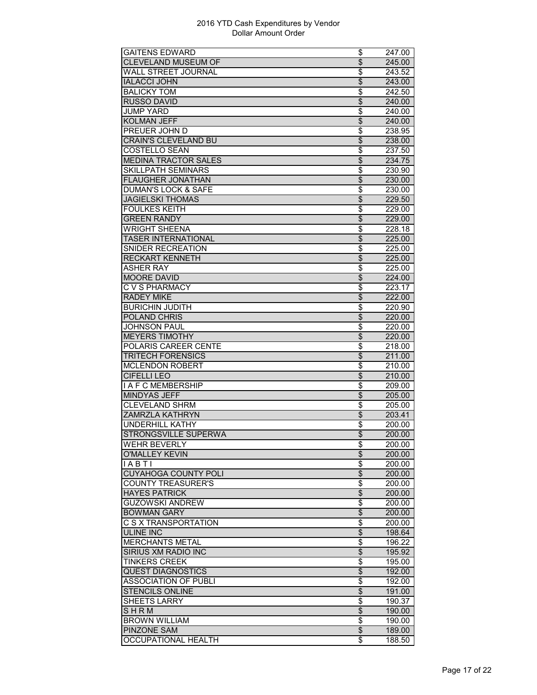| <b>GAITENS EDWARD</b>                                    | \$                       | 247.00 |
|----------------------------------------------------------|--------------------------|--------|
| CLEVELAND MUSEUM OF                                      | \$                       | 245.00 |
| WALL STREET JOURNAL                                      | \$                       | 243.52 |
| <b>IALACCI JOHN</b>                                      | \$                       | 243.00 |
| <b>BALICKY TOM</b>                                       | \$                       | 242.50 |
| <b>RUSSO DAVID</b>                                       | $\overline{\$}$          | 240.00 |
| <b>JUMP YARD</b>                                         | \$                       | 240.00 |
| <b>KOLMAN JEFF</b>                                       | \$                       | 240.00 |
| PREUER JOHN D                                            | \$                       | 238.95 |
| <b>CRAIN'S CLEVELAND BU</b>                              | $\overline{\mathcal{S}}$ | 238.00 |
| <b>COSTELLO SEAN</b>                                     | \$                       | 237.50 |
|                                                          | \$                       |        |
| <b>MEDINA TRACTOR SALES</b><br><b>SKILLPATH SEMINARS</b> |                          | 234.75 |
|                                                          | \$                       | 230.90 |
| <b>FLAUGHER JONATHAN</b>                                 | $\overline{\$}$          | 230.00 |
| <b>DUMAN'S LOCK &amp; SAFE</b>                           | \$                       | 230.00 |
| <b>JAGIELSKI THOMAS</b>                                  | \$                       | 229.50 |
| <b>FOULKES KEITH</b>                                     | \$                       | 229.00 |
| <b>GREEN RANDY</b>                                       | \$                       | 229.00 |
| <b>WRIGHT SHEENA</b>                                     | \$                       | 228.18 |
| <b>TASER INTERNATIONAL</b>                               | $\overline{\mathcal{S}}$ | 225.00 |
| SNIDER RECREATION                                        | \$                       | 225.00 |
| <b>RECKART KENNETH</b>                                   | $\overline{\$}$          | 225.00 |
| <b>ASHER RAY</b>                                         | \$                       | 225.00 |
| <b>MOORE DAVID</b>                                       | $\overline{\mathcal{S}}$ | 224.00 |
| C V S PHARMACY                                           | \$                       | 223.17 |
| <b>RADEY MIKE</b>                                        | \$                       | 222.00 |
| <b>BURICHIN JUDITH</b>                                   | \$                       | 220.90 |
| POLAND CHRIS                                             | $\overline{\$}$          | 220.00 |
| <b>JOHNSON PAUL</b>                                      | \$                       | 220.00 |
| <b>MEYERS TIMOTHY</b>                                    | \$                       | 220.00 |
| POLARIS CAREER CENTE                                     | \$                       | 218.00 |
| <b>TRITECH FORENSICS</b>                                 | \$                       | 211.00 |
| <b>MCLENDON ROBERT</b>                                   | \$                       | 210.00 |
| <b>CIFELLI LEO</b>                                       | $\overline{\mathcal{S}}$ | 210.00 |
| <b>I A F C MEMBERSHIP</b>                                | $\overline{\$}$          | 209.00 |
| <b>MINDYAS JEFF</b>                                      | $\overline{\mathcal{S}}$ | 205.00 |
|                                                          |                          |        |
| <b>CLEVELAND SHRM</b>                                    | \$                       | 205.00 |
| <b>ZAMRZLA KATHRYN</b>                                   | $\overline{\mathcal{S}}$ | 203.41 |
| <b>UNDERHILL KATHY</b>                                   | \$                       | 200.00 |
| STRONGSVILLE SUPERWA                                     | \$                       | 200.00 |
| <b>WEHR BEVERLY</b>                                      | \$                       | 200.00 |
| <b>O'MALLEY KEVIN</b>                                    | $\overline{\mathcal{L}}$ | 200.00 |
| IABTI                                                    | \$                       | 200.00 |
| <b>CUYAHOGA COUNTY POLI</b>                              | $\overline{\mathcal{L}}$ | 200.00 |
| <b>COUNTY TREASURER'S</b>                                | \$                       | 200.00 |
| <b>HAYES PATRICK</b>                                     | \$                       | 200.00 |
| <b>GUZOWSKI ANDREW</b>                                   | \$                       | 200.00 |
| <b>BOWMAN GARY</b>                                       | $\overline{\mathcal{L}}$ | 200.00 |
| C S X TRANSPORTATION                                     | \$                       | 200.00 |
| <b>ULINE INC</b>                                         | $\overline{\mathcal{L}}$ | 198.64 |
| <b>MERCHANTS METAL</b>                                   | \$                       | 196.22 |
| <b>SIRIUS XM RADIO INC</b>                               | $\overline{\theta}$      | 195.92 |
| <b>TINKERS CREEK</b>                                     | \$                       | 195.00 |
| <b>QUEST DIAGNOSTICS</b>                                 | \$                       | 192.00 |
| <b>ASSOCIATION OF PUBLI</b>                              | \$                       | 192.00 |
| <b>STENCILS ONLINE</b>                                   | $\overline{\$}$          | 191.00 |
| <b>SHEETS LARRY</b>                                      | \$                       | 190.37 |
|                                                          |                          |        |
| SHRM                                                     | \$                       | 190.00 |
| <b>BROWN WILLIAM</b>                                     | \$                       | 190.00 |
| <b>PINZONE SAM</b>                                       | \$                       | 189.00 |
| <b>OCCUPATIONAL HEALTH</b>                               | \$                       | 188.50 |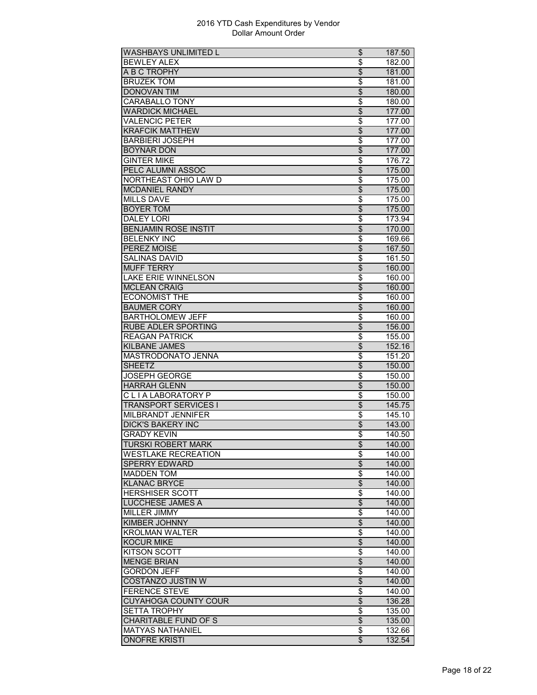| <b>WASHBAYS UNLIMITED L</b>                     | \$                       | 187.50 |
|-------------------------------------------------|--------------------------|--------|
| <b>BEWLEY ALEX</b>                              | \$                       | 182.00 |
| A B C TROPHY                                    | \$                       | 181.00 |
| <b>BRUZEK TOM</b>                               | \$                       | 181.00 |
| <b>DONOVAN TIM</b>                              | $\overline{\$}$          | 180.00 |
| CARABALLO TONY                                  | \$                       | 180.00 |
| <b>WARDICK MICHAEL</b>                          | $\overline{\$}$          | 177.00 |
| <b>VALENCIC PETER</b>                           | \$                       | 177.00 |
| <b>KRAFCIK MATTHEW</b>                          | \$                       | 177.00 |
| <b>BARBIERI JOSEPH</b>                          | \$                       | 177.00 |
| <b>BOYNAR DON</b>                               | $\overline{\mathcal{S}}$ | 177.00 |
| <b>GINTER MIKE</b>                              | \$                       | 176.72 |
| PELC ALUMNI ASSOC                               | $\overline{\$}$          | 175.00 |
| NORTHEAST OHIO LAW D                            |                          |        |
|                                                 | \$                       | 175.00 |
| <b>MCDANIEL RANDY</b>                           | $\overline{\$}$          | 175.00 |
| <b>MILLS DAVE</b>                               | \$                       | 175.00 |
| <b>BOYER TOM</b>                                | \$                       | 175.00 |
| <b>DALEY LORI</b>                               | \$                       | 173.94 |
| <b>BENJAMIN ROSE INSTIT</b>                     | $\overline{\mathcal{S}}$ | 170.00 |
| <b>BELENKY INC</b>                              | \$                       | 169.66 |
| <b>PEREZ MOISE</b>                              | \$                       | 167.50 |
| <b>SALINAS DAVID</b>                            | \$                       | 161.50 |
| <b>MUFF TERRY</b>                               | $\overline{\mathcal{S}}$ | 160.00 |
| <b>LAKE ERIE WINNELSON</b>                      | \$                       | 160.00 |
| <b>MCLEAN CRAIG</b>                             | \$                       | 160.00 |
| <b>ECONOMIST THE</b>                            | \$                       | 160.00 |
| <b>BAUMER CORY</b>                              | $\overline{\$}$          | 160.00 |
| <b>BARTHOLOMEW JEFF</b>                         | $\overline{\$}$          | 160.00 |
| <b>RUBE ADLER SPORTING</b>                      | \$                       | 156.00 |
| <b>REAGAN PATRICK</b>                           | \$                       | 155.00 |
| <b>KILBANE JAMES</b>                            | \$                       | 152.16 |
| MASTRODONATO JENNA                              |                          |        |
|                                                 | \$                       | 151.20 |
| <b>SHEETZ</b>                                   | \$                       | 150.00 |
| <b>JOSEPH GEORGE</b>                            | $\overline{\$}$          | 150.00 |
| <b>HARRAH GLENN</b>                             | $\overline{\$}$          | 150.00 |
| CLIALABORATORY P                                | \$                       | 150.00 |
| <b>TRANSPORT SERVICES I</b>                     | \$                       | 145.75 |
| <b>MILBRANDT JENNIFER</b>                       | \$                       | 145.10 |
| <b>DICK'S BAKERY INC</b>                        | \$                       | 143.00 |
| <b>GRADY KEVIN</b>                              | \$                       | 140.50 |
| <b>TURSKI ROBERT MARK</b>                       | \$                       | 140.00 |
| <b>WESTLAKE RECREATION</b>                      | \$                       | 140.00 |
| <b>SPERRY EDWARD</b>                            | $\overline{\theta}$      | 140.00 |
| <b>MADDEN TOM</b>                               | \$                       | 140.00 |
| <b>KLANAC BRYCE</b>                             | \$                       | 140.00 |
| <b>HERSHISER SCOTT</b>                          | \$                       | 140.00 |
| <b>LUCCHESE JAMES A</b>                         | $\overline{\mathcal{L}}$ | 140.00 |
| MILLER JIMMY                                    | $\overline{\$}$          | 140.00 |
| <b>KIMBER JOHNNY</b>                            | $\overline{\$}$          | 140.00 |
| <b>KROLMAN WALTER</b>                           | \$                       | 140.00 |
| <b>KOCUR MIKE</b>                               | $\overline{\theta}$      | 140.00 |
|                                                 |                          |        |
| <b>KITSON SCOTT</b>                             | \$                       | 140.00 |
| <b>MENGE BRIAN</b>                              | \$                       | 140.00 |
| <b>GORDON JEFF</b>                              | \$                       | 140.00 |
| <b>COSTANZO JUSTIN W</b>                        | $\overline{\$}$          | 140.00 |
| <b>FERENCE STEVE</b>                            | \$                       | 140.00 |
| <b>CUYAHOGA COUNTY COUR</b>                     | $\overline{\$}$          | 136.28 |
| <b>SETTA TROPHY</b>                             | \$                       | 135.00 |
| <b>CHARITABLE FUND OF S</b>                     | \$                       | 135.00 |
|                                                 |                          |        |
| <b>MATYAS NATHANIEL</b><br><b>ONOFRE KRISTI</b> | \$<br>\$                 | 132.66 |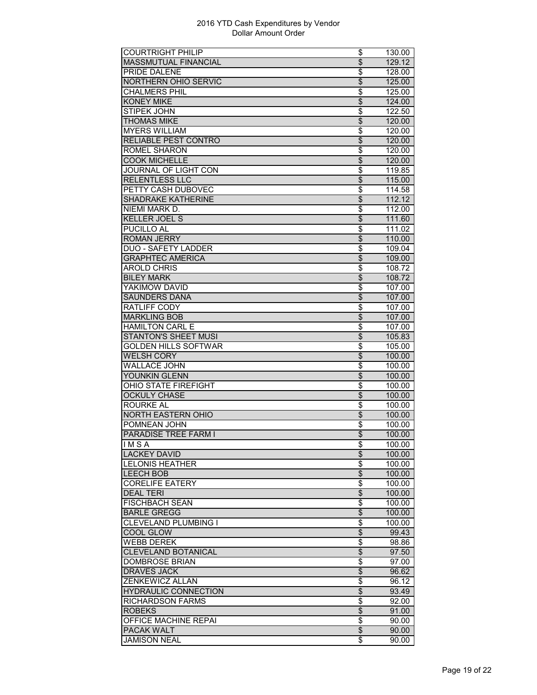| <b>COURTRIGHT PHILIP</b>    | \$                       | 130.00 |
|-----------------------------|--------------------------|--------|
| MASSMUTUAL FINANCIAL        | $\overline{\mathcal{S}}$ | 129.12 |
| PRIDE DALENE                | \$                       | 128.00 |
| <b>NORTHERN OHIO SERVIC</b> | $\overline{\mathcal{S}}$ | 125.00 |
| CHALMERS PHIL               | $\overline{\$}$          | 125.00 |
| <b>KONEY MIKE</b>           | $\overline{\$}$          | 124.00 |
| <b>STIPEK JOHN</b>          | \$                       | 122.50 |
| <b>THOMAS MIKE</b>          | \$                       | 120.00 |
| <b>MYERS WILLIAM</b>        | \$                       | 120.00 |
| <b>RELIABLE PEST CONTRO</b> | $\overline{\mathcal{S}}$ | 120.00 |
| <b>ROMEL SHARON</b>         | \$                       | 120.00 |
| <b>COOK MICHELLE</b>        | $\overline{\mathcal{L}}$ | 120.00 |
| <b>JOURNAL OF LIGHT CON</b> | $\overline{\$}$          | 119.85 |
| <b>RELENTLESS LLC</b>       | $\overline{\$}$          | 115.00 |
| PETTY CASH DUBOVEC          | \$                       | 114.58 |
| <b>SHADRAKE KATHERINE</b>   |                          | 112.12 |
|                             | \$                       |        |
| NIEMI MARK D.               | \$                       | 112.00 |
| <b>KELLER JOEL S</b>        | \$                       | 111.60 |
| <b>PUCILLO AL</b>           | \$                       | 111.02 |
| <b>ROMAN JERRY</b>          | $\overline{\$}$          | 110.00 |
| <b>DUO - SAFETY LADDER</b>  | \$                       | 109.04 |
| <b>GRAPHTEC AMERICA</b>     | $\overline{\$}$          | 109.00 |
| <b>AROLD CHRIS</b>          | \$                       | 108.72 |
| <b>BILEY MARK</b>           | $\overline{\mathcal{L}}$ | 108.72 |
| YAKIMOW DAVID               | \$                       | 107.00 |
| <b>SAUNDERS DANA</b>        | \$                       | 107.00 |
| RATLIFF CODY                | \$                       | 107.00 |
| <b>MARKLING BOB</b>         | $\overline{\$}$          | 107.00 |
| <b>HAMILTON CARL E</b>      | \$                       | 107.00 |
| <b>STANTON'S SHEET MUSI</b> | \$                       | 105.83 |
| <b>GOLDEN HILLS SOFTWAR</b> | \$                       | 105.00 |
| <b>WELSH CORY</b>           | \$                       | 100.00 |
| <b>WALLACE JOHN</b>         | \$                       | 100.00 |
| YOUNKIN GLENN               | $\overline{\$}$          | 100.00 |
| <b>OHIO STATE FIREFIGHT</b> | $\overline{\$}$          | 100.00 |
| <b>OCKULY CHASE</b>         | $\overline{\mathcal{S}}$ | 100.00 |
| <b>ROURKE AL</b>            | \$                       | 100.00 |
| <b>NORTH EASTERN OHIO</b>   | $\overline{\mathcal{L}}$ | 100.00 |
| POMNEAN JOHN                | \$                       | 100.00 |
|                             |                          |        |
| <b>PARADISE TREE FARM I</b> | $\overline{\$}$          | 100.00 |
| IMSA                        | \$                       | 100.00 |
| <b>LACKEY DAVID</b>         | $\overline{\mathcal{L}}$ | 100.00 |
| <b>LELONIS HEATHER</b>      | \$                       | 100.00 |
| <b>LEECH BOB</b>            | $\overline{\theta}$      | 100.00 |
| <b>CORELIFE EATERY</b>      | \$                       | 100.00 |
| <b>DEAL TERI</b>            | \$                       | 100.00 |
| <b>FISCHBACH SEAN</b>       | \$                       | 100.00 |
| <b>BARLE GREGG</b>          | $\overline{\$}$          | 100.00 |
| CLEVELAND PLUMBING I        | \$                       | 100.00 |
| COOL GLOW                   | \$                       | 99.43  |
| <b>WEBB DEREK</b>           | \$                       | 98.86  |
| CLEVELAND BOTANICAL         | \$                       | 97.50  |
| <b>DOMBROSE BRIAN</b>       | \$                       | 97.00  |
| <b>DRAVES JACK</b>          | \$                       | 96.62  |
| ZENKEWICZ ALLAN             | \$                       | 96.12  |
| <b>HYDRAULIC CONNECTION</b> | $\overline{\$}$          | 93.49  |
| <b>RICHARDSON FARMS</b>     | \$                       | 92.00  |
| <b>ROBEKS</b>               | \$                       |        |
|                             |                          | 91.00  |
| OFFICE MACHINE REPAI        | \$                       | 90.00  |
| PACAK WALT                  | \$                       | 90.00  |
| <b>JAMISON NEAL</b>         | \$                       | 90.00  |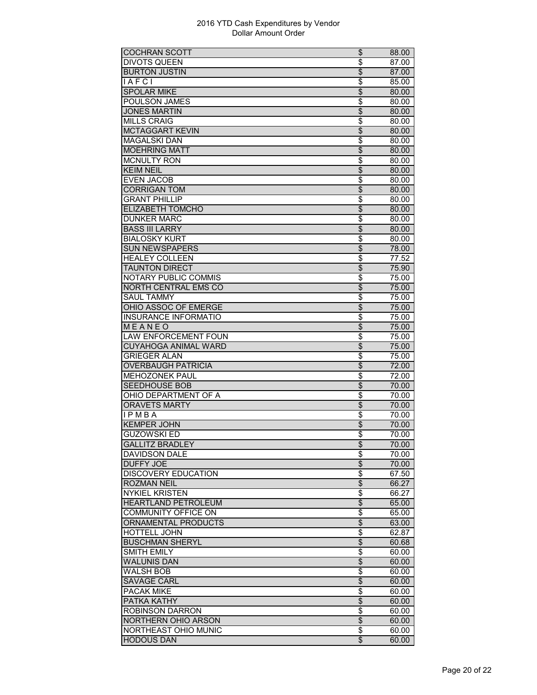| <b>COCHRAN SCOTT</b>        | \$                       | 88.00 |
|-----------------------------|--------------------------|-------|
| <b>DIVOTS QUEEN</b>         | \$                       | 87.00 |
| <b>BURTON JUSTIN</b>        | \$                       | 87.00 |
| <b>IAFCI</b>                | \$                       | 85.00 |
| <b>SPOLAR MIKE</b>          | $\overline{\$}$          | 80.00 |
| POULSON JAMES               | $\overline{\$}$          | 80.00 |
| <b>JONES MARTIN</b>         | $\overline{\$}$          | 80.00 |
| <b>MILLS CRAIG</b>          | \$                       | 80.00 |
| <b>MCTAGGART KEVIN</b>      | \$                       | 80.00 |
| <b>MAGALSKI DAN</b>         | \$                       | 80.00 |
| <b>MOEHRING MATT</b>        | \$                       | 80.00 |
| <b>MCNULTY RON</b>          | \$                       | 80.00 |
| <b>KEIM NEIL</b>            | $\overline{\$}$          | 80.00 |
| <b>EVEN JACOB</b>           | \$                       | 80.00 |
| <b>CORRIGAN TOM</b>         | $\overline{\$}$          | 80.00 |
| <b>GRANT PHILLIP</b>        | \$                       | 80.00 |
| ELIZABETH TOMCHO            | \$                       | 80.00 |
| <b>DUNKER MARC</b>          |                          |       |
| <b>BASS III LARRY</b>       | \$                       | 80.00 |
|                             | \$                       | 80.00 |
| <b>BIALOSKY KURT</b>        | \$                       | 80.00 |
| <b>SUN NEWSPAPERS</b>       | \$                       | 78.00 |
| <b>HEALEY COLLEEN</b>       | \$                       | 77.52 |
| <b>TAUNTON DIRECT</b>       | $\overline{\mathcal{L}}$ | 75.90 |
| <b>NOTARY PUBLIC COMMIS</b> | \$                       | 75.00 |
| NORTH CENTRAL EMS CO        | \$                       | 75.00 |
| <b>SAUL TAMMY</b>           | \$                       | 75.00 |
| OHIO ASSOC OF EMERGE        | $\overline{\$}$          | 75.00 |
| <b>INSURANCE INFORMATIO</b> | $\overline{\$}$          | 75.00 |
| MEANEO                      | \$                       | 75.00 |
| <b>LAW ENFORCEMENT FOUN</b> | \$                       | 75.00 |
| <b>CUYAHOGA ANIMAL WARD</b> | \$                       | 75.00 |
| <b>GRIEGER ALAN</b>         | \$                       | 75.00 |
| <b>OVERBAUGH PATRICIA</b>   | \$                       | 72.00 |
| <b>MEHOZONEK PAUL</b>       | $\overline{\$}$          | 72.00 |
| <b>SEEDHOUSE BOB</b>        | $\overline{\$}$          | 70.00 |
| OHIO DEPARTMENT OF A        | \$                       | 70.00 |
| <b>ORAVETS MARTY</b>        | \$                       | 70.00 |
| <b>IPMBA</b>                | \$                       | 70.00 |
| <b>KEMPER JOHN</b>          | \$                       | 70.00 |
| <b>GUZOWSKI ED</b>          | \$                       | 70.00 |
| <b>GALLITZ BRADLEY</b>      | $\overline{\$}$          | 70.00 |
| <b>DAVIDSON DALE</b>        | \$                       | 70.00 |
| <b>DUFFY JOE</b>            | \$                       | 70.00 |
| <b>DISCOVERY EDUCATION</b>  | \$                       | 67.50 |
| <b>ROZMAN NEIL</b>          | \$                       | 66.27 |
| <b>NYKIEL KRISTEN</b>       | \$                       | 66.27 |
| <b>HEARTLAND PETROLEUM</b>  | $\overline{\mathcal{L}}$ | 65.00 |
| <b>COMMUNITY OFFICE ON</b>  |                          |       |
|                             | $\overline{\$}$          | 65.00 |
| <b>ORNAMENTAL PRODUCTS</b>  | $\overline{\$}$          | 63.00 |
| <b>HOTTELL JOHN</b>         | \$                       | 62.87 |
| <b>BUSCHMAN SHERYL</b>      | \$                       | 60.68 |
| <b>SMITH EMILY</b>          | \$                       | 60.00 |
| <b>WALUNIS DAN</b>          | \$                       | 60.00 |
| <b>WALSH BOB</b>            | \$                       | 60.00 |
| <b>SAVAGE CARL</b>          | $\overline{\$}$          | 60.00 |
| <b>PACAK MIKE</b>           | \$                       | 60.00 |
| <b>PATKA KATHY</b>          | $\overline{\$}$          | 60.00 |
| <b>ROBINSON DARRON</b>      | \$                       | 60.00 |
| NORTHERN OHIO ARSON         | \$                       | 60.00 |
| NORTHEAST OHIO MUNIC        | \$                       | 60.00 |
| <b>HODOUS DAN</b>           | \$                       | 60.00 |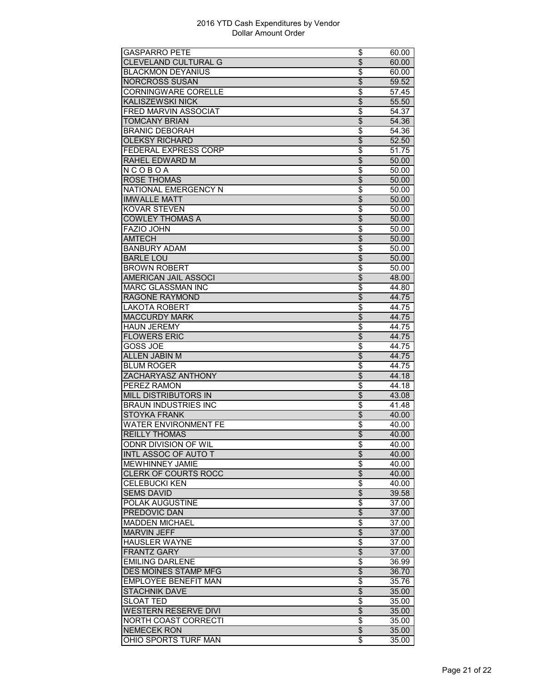| <b>GASPARRO PETE</b>        | \$                       | 60.00          |
|-----------------------------|--------------------------|----------------|
| <b>CLEVELAND CULTURAL G</b> | \$                       | 60.00          |
| <b>BLACKMON DEYANIUS</b>    | \$                       | 60.00          |
| <b>NORCROSS SUSAN</b>       | \$                       | 59.52          |
| <b>CORNINGWARE CORELLE</b>  | \$                       | 57.45          |
| <b>KALISZEWSKI NICK</b>     | $\overline{\$}$          | 55.50          |
| FRED MARVIN ASSOCIAT        | \$                       | 54.37          |
| <b>TOMCANY BRIAN</b>        | \$                       | 54.36          |
| <b>BRANIC DEBORAH</b>       | \$                       | 54.36          |
| <b>OLEKSY RICHARD</b>       | \$                       | 52.50          |
| FEDERAL EXPRESS CORP        | \$                       | 51.75          |
| RAHEL EDWARD M              | \$                       | 50.00          |
| NCOBOA                      | $\overline{\$}$          | 50.00          |
| <b>ROSE THOMAS</b>          | $\overline{\$}$          | 50.00          |
| NATIONAL EMERGENCY N        | \$                       | 50.00          |
| <b>IMWALLE MATT</b>         | \$                       | 50.00          |
| <b>KOVAR STEVEN</b>         | \$                       | 50.00          |
| <b>COWLEY THOMAS A</b>      | \$                       | 50.00          |
| <b>FAZIO JOHN</b>           | \$                       | 50.00          |
| <b>AMTECH</b>               | $\overline{\$}$          | 50.00          |
| <b>BANBURY ADAM</b>         | \$                       | 50.00          |
| <b>BARLE LOU</b>            | $\overline{\mathcal{L}}$ | 50.00          |
| <b>BROWN ROBERT</b>         | \$                       | 50.00          |
| <b>AMERICAN JAIL ASSOCI</b> | \$                       | 48.00          |
| <b>MARC GLASSMAN INC</b>    | \$                       | 44.80          |
| <b>RAGONE RAYMOND</b>       | $\overline{\mathcal{S}}$ | 44.75          |
| <b>LAKOTA ROBERT</b>        | $\overline{\$}$          | 44.75          |
| <b>MACCURDY MARK</b>        | $\overline{\$}$          |                |
| <b>HAUN JEREMY</b>          |                          | 44.75          |
|                             | \$<br>\$                 | 44.75<br>44.75 |
|                             |                          |                |
| <b>FLOWERS ERIC</b>         |                          |                |
| <b>GOSS JOE</b>             | \$                       | 44.75          |
| <b>ALLEN JABIN M</b>        | \$                       | 44.75          |
| <b>BLUM ROGER</b>           | \$                       | 44.75          |
| ZACHARYASZ ANTHONY          | $\overline{\$}$          | 44.18          |
| <b>PEREZ RAMON</b>          | \$                       | 44.18          |
| <b>MILL DISTRIBUTORS IN</b> | \$                       | 43.08          |
| <b>BRAUN INDUSTRIES INC</b> | \$                       | 41.48          |
| <b>STOYKA FRANK</b>         | \$                       | 40.00          |
| <b>WATER ENVIRONMENT FE</b> | \$                       | 40.00          |
| <b>REILLY THOMAS</b>        | $\overline{\$}$          | 40.00          |
| ODNR DIVISION OF WIL        | \$                       | 40.00          |
| <b>INTL ASSOC OF AUTO T</b> | $\overline{\mathcal{L}}$ | 40.00          |
| <b>MEWHINNEY JAMIE</b>      | \$                       | 40.00          |
| <b>CLERK OF COURTS ROCC</b> | \$                       | 40.00          |
| <b>CELEBUCKI KEN</b>        | \$                       | 40.00          |
| <b>SEMS DAVID</b>           | \$                       | 39.58          |
| <b>POLAK AUGUSTINE</b>      | \$                       | 37.00          |
| <b>PREDOVIC DAN</b>         | $\overline{\$}$          | 37.00          |
| <b>MADDEN MICHAEL</b>       | \$                       | 37.00          |
| <b>MARVIN JEFF</b>          | \$                       | 37.00          |
| <b>HAUSLER WAYNE</b>        | \$                       | 37.00          |
| <b>FRANTZ GARY</b>          | \$                       | 37.00          |
| <b>EMILING DARLENE</b>      | \$                       | 36.99          |
| DES MOINES STAMP MFG        | \$                       | 36.70          |
| <b>EMPLOYEE BENEFIT MAN</b> | \$                       | 35.76          |
| <b>STACHNIK DAVE</b>        | $\overline{\$}$          | 35.00          |
| <b>SLOAT TED</b>            | \$                       | 35.00          |
| <b>WESTERN RESERVE DIVI</b> | \$                       | 35.00          |
| NORTH COAST CORRECTI        | \$                       | 35.00          |
| <b>NEMECEK RON</b>          | \$                       | 35.00          |